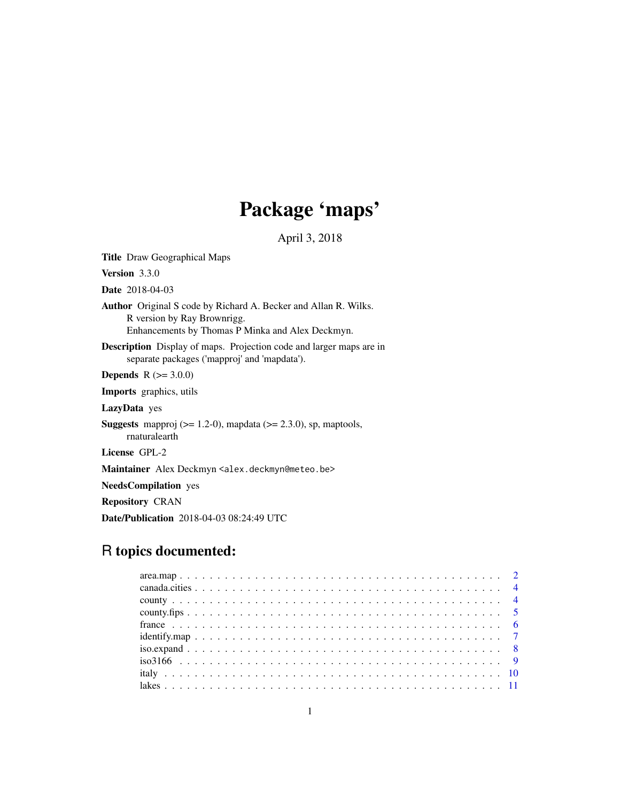# Package 'maps'

April 3, 2018

<span id="page-0-0"></span>Title Draw Geographical Maps Version 3.3.0 Date 2018-04-03 Author Original S code by Richard A. Becker and Allan R. Wilks. R version by Ray Brownrigg. Enhancements by Thomas P Minka and Alex Deckmyn. Description Display of maps. Projection code and larger maps are in separate packages ('mapproj' and 'mapdata'). **Depends**  $R (= 3.0.0)$ Imports graphics, utils LazyData yes **Suggests** mapproj  $(>= 1.2\n-0)$ , mapdata  $(>= 2.3.0)$ , sp, maptools, rnaturalearth License GPL-2 Maintainer Alex Deckmyn <alex.deckmyn@meteo.be> NeedsCompilation yes Repository CRAN

# Date/Publication 2018-04-03 08:24:49 UTC

# R topics documented: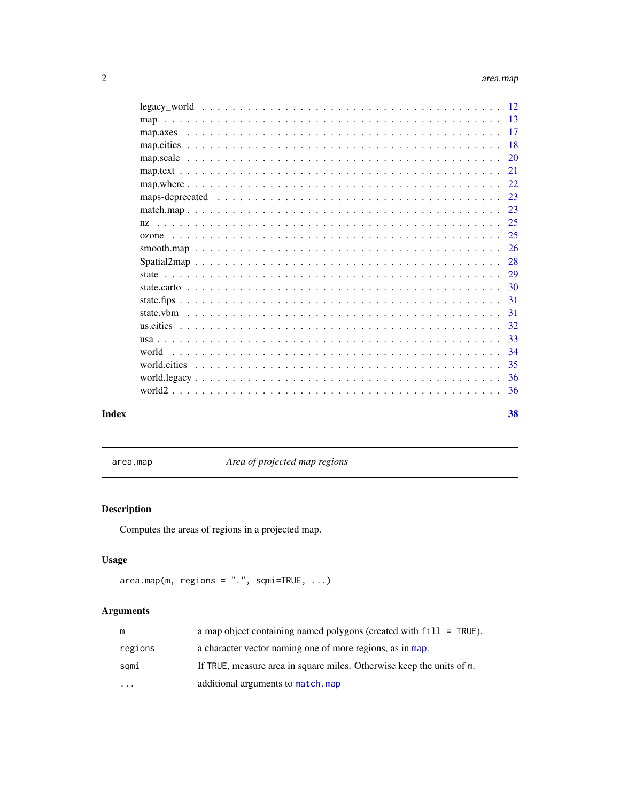<span id="page-1-0"></span>

|       |       | 20 |
|-------|-------|----|
|       |       | 21 |
|       |       | 22 |
|       |       |    |
|       |       |    |
|       |       |    |
|       |       |    |
|       |       |    |
|       |       |    |
|       |       |    |
|       |       |    |
|       |       |    |
|       |       |    |
|       |       |    |
|       |       |    |
|       | world |    |
|       |       |    |
|       |       |    |
|       |       |    |
| Index |       | 38 |

area.map *Area of projected map regions*

# Description

Computes the areas of regions in a projected map.

# Usage

```
area.map(m, regions = "." , squareTRUE, ...)
```
# Arguments

| m                       | a map object containing named polygons (created with $fill = TRUE$ ). |
|-------------------------|-----------------------------------------------------------------------|
| regions                 | a character vector naming one of more regions, as in map.             |
| sqmi                    | If TRUE, measure area in square miles. Otherwise keep the units of m. |
| $\cdot$ $\cdot$ $\cdot$ | additional arguments to match.map                                     |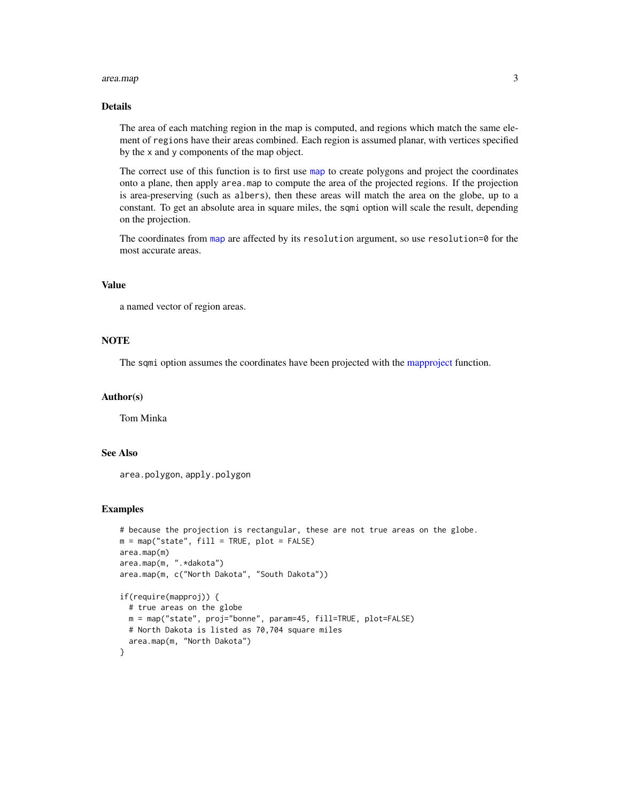#### <span id="page-2-0"></span>area.map 3

# Details

The area of each matching region in the map is computed, and regions which match the same element of regions have their areas combined. Each region is assumed planar, with vertices specified by the x and y components of the map object.

The correct use of this function is to first use [map](#page-12-1) to create polygons and project the coordinates onto a plane, then apply area.map to compute the area of the projected regions. If the projection is area-preserving (such as albers), then these areas will match the area on the globe, up to a constant. To get an absolute area in square miles, the sqmi option will scale the result, depending on the projection.

The coordinates from [map](#page-12-1) are affected by its resolution argument, so use resolution=0 for the most accurate areas.

# Value

a named vector of region areas.

# **NOTE**

The sqmi option assumes the coordinates have been projected with the [mapproject](#page-0-0) function.

# Author(s)

Tom Minka

# See Also

area.polygon, apply.polygon

```
# because the projection is rectangular, these are not true areas on the globe.
m = map("state", fill = TRUE, plot = FALSE)area.map(m)
area.map(m, ".*dakota")
area.map(m, c("North Dakota", "South Dakota"))
if(require(mapproj)) {
 # true areas on the globe
 m = map("state", proj="bonne", param=45, fill=TRUE, plot=FALSE)
 # North Dakota is listed as 70,704 square miles
 area.map(m, "North Dakota")
}
```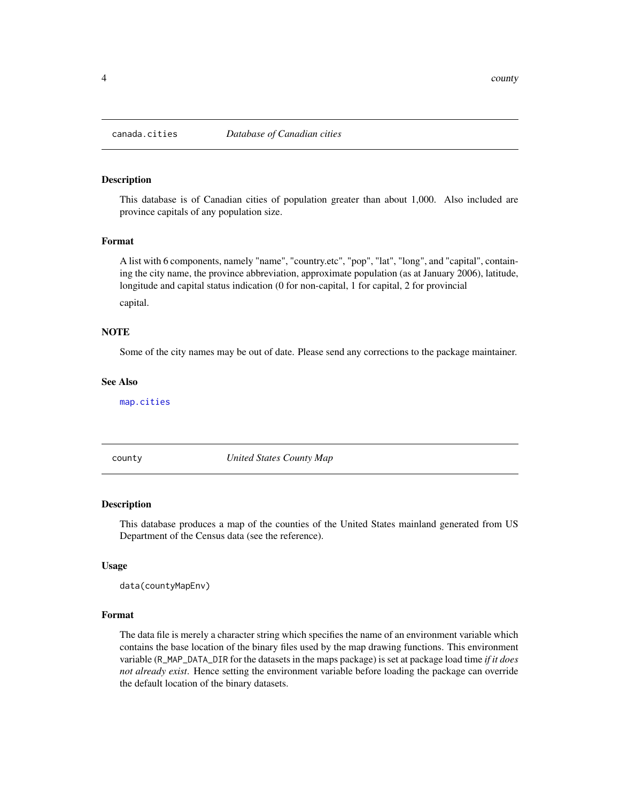<span id="page-3-2"></span><span id="page-3-0"></span>

This database is of Canadian cities of population greater than about 1,000. Also included are province capitals of any population size.

# Format

A list with 6 components, namely "name", "country.etc", "pop", "lat", "long", and "capital", containing the city name, the province abbreviation, approximate population (as at January 2006), latitude, longitude and capital status indication (0 for non-capital, 1 for capital, 2 for provincial capital.

# **NOTE**

Some of the city names may be out of date. Please send any corrections to the package maintainer.

# See Also

[map.cities](#page-17-1)

<span id="page-3-1"></span>county *United States County Map*

#### Description

This database produces a map of the counties of the United States mainland generated from US Department of the Census data (see the reference).

# Usage

```
data(countyMapEnv)
```
#### Format

The data file is merely a character string which specifies the name of an environment variable which contains the base location of the binary files used by the map drawing functions. This environment variable (R\_MAP\_DATA\_DIR for the datasets in the maps package) is set at package load time *if it does not already exist*. Hence setting the environment variable before loading the package can override the default location of the binary datasets.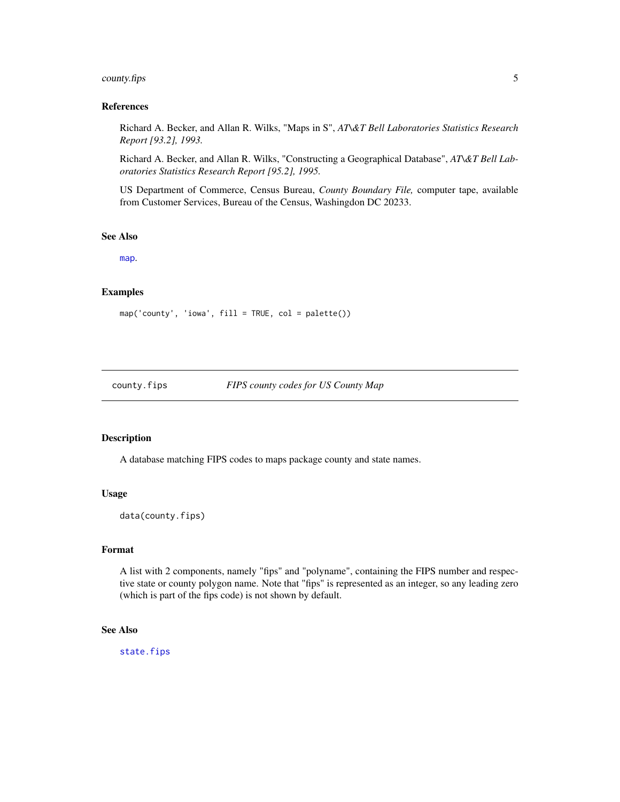# <span id="page-4-0"></span>county.fips 5

### References

Richard A. Becker, and Allan R. Wilks, "Maps in S", *AT\&T Bell Laboratories Statistics Research Report [93.2], 1993.*

Richard A. Becker, and Allan R. Wilks, "Constructing a Geographical Database", *AT\&T Bell Laboratories Statistics Research Report [95.2], 1995.*

US Department of Commerce, Census Bureau, *County Boundary File,* computer tape, available from Customer Services, Bureau of the Census, Washingdon DC 20233.

# See Also

[map](#page-12-1).

# Examples

 $map('county', 'iowa', fill = TRUE, col = palette())$ 

<span id="page-4-1"></span>county.fips *FIPS county codes for US County Map*

# Description

A database matching FIPS codes to maps package county and state names.

#### Usage

data(county.fips)

# Format

A list with 2 components, namely "fips" and "polyname", containing the FIPS number and respective state or county polygon name. Note that "fips" is represented as an integer, so any leading zero (which is part of the fips code) is not shown by default.

# See Also

[state.fips](#page-30-1)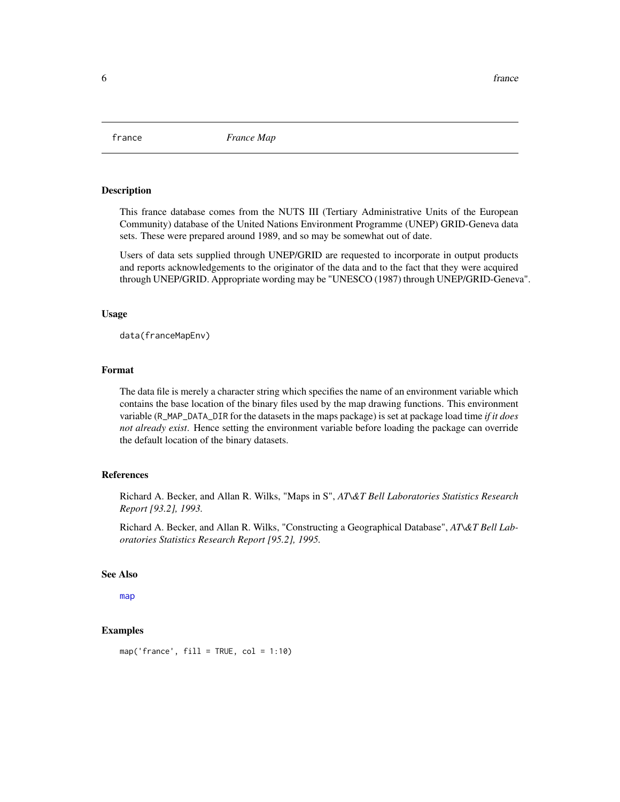<span id="page-5-0"></span>

This france database comes from the NUTS III (Tertiary Administrative Units of the European Community) database of the United Nations Environment Programme (UNEP) GRID-Geneva data sets. These were prepared around 1989, and so may be somewhat out of date.

Users of data sets supplied through UNEP/GRID are requested to incorporate in output products and reports acknowledgements to the originator of the data and to the fact that they were acquired through UNEP/GRID. Appropriate wording may be "UNESCO (1987) through UNEP/GRID-Geneva".

#### Usage

data(franceMapEnv)

# Format

The data file is merely a character string which specifies the name of an environment variable which contains the base location of the binary files used by the map drawing functions. This environment variable (R\_MAP\_DATA\_DIR for the datasets in the maps package) is set at package load time *if it does not already exist*. Hence setting the environment variable before loading the package can override the default location of the binary datasets.

# References

Richard A. Becker, and Allan R. Wilks, "Maps in S", *AT\&T Bell Laboratories Statistics Research Report [93.2], 1993.*

Richard A. Becker, and Allan R. Wilks, "Constructing a Geographical Database", *AT\&T Bell Laboratories Statistics Research Report [95.2], 1995.*

# See Also

[map](#page-12-1)

# Examples

 $map('france', fill = TRUE, col = 1:10)$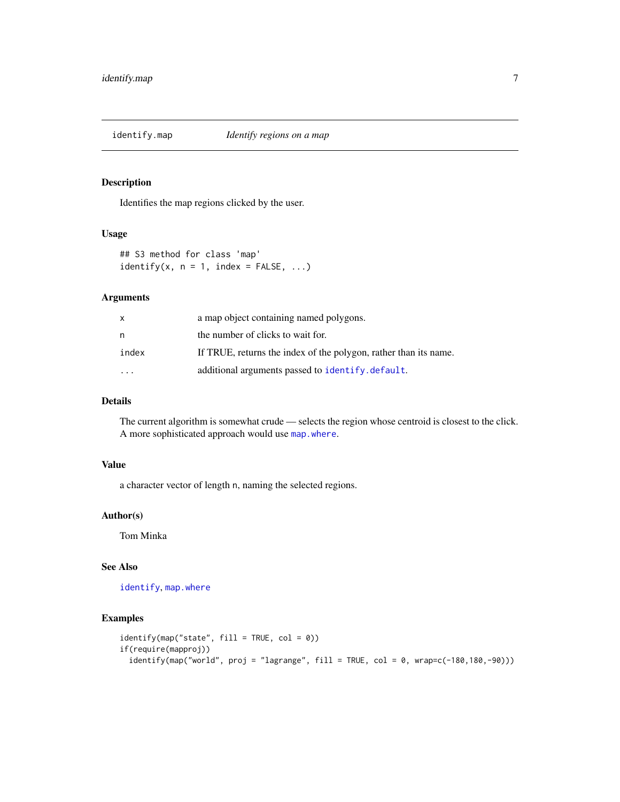<span id="page-6-0"></span>

Identifies the map regions clicked by the user.

# Usage

```
## S3 method for class 'map'
identify(x, n = 1, index = FALSE, ...)
```
# Arguments

| x     | a map object containing named polygons.                          |
|-------|------------------------------------------------------------------|
| n     | the number of clicks to wait for.                                |
| index | If TRUE, returns the index of the polygon, rather than its name. |
|       | additional arguments passed to identify.default.                 |

# Details

The current algorithm is somewhat crude — selects the region whose centroid is closest to the click. A more sophisticated approach would use [map.where](#page-21-1).

# Value

a character vector of length n, naming the selected regions.

# Author(s)

Tom Minka

# See Also

[identify](#page-0-0), [map.where](#page-21-1)

```
identify(map("state", fill = TRUE, col = 0))
if(require(mapproj))
 identity(map("world", proj = "lagrange", fill = TRUE, col = 0, wrap=c(-180,180,-90))
```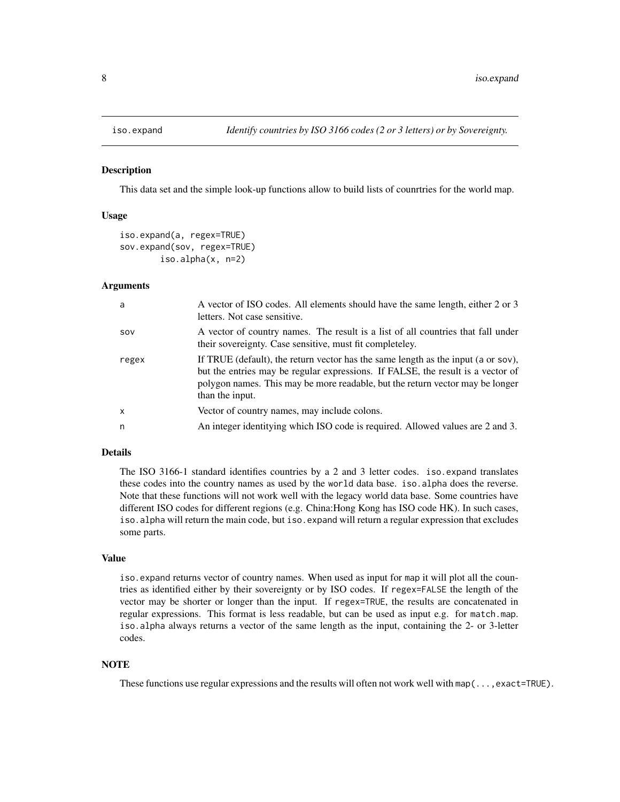<span id="page-7-1"></span><span id="page-7-0"></span>

This data set and the simple look-up functions allow to build lists of counrtries for the world map.

# Usage

```
iso.expand(a, regex=TRUE)
sov.expand(sov, regex=TRUE)
       iso.alpha(x, n=2)
```
# Arguments

| a            | A vector of ISO codes. All elements should have the same length, either 2 or 3<br>letters. Not case sensitive.                                                                                                                                                           |
|--------------|--------------------------------------------------------------------------------------------------------------------------------------------------------------------------------------------------------------------------------------------------------------------------|
| SOV          | A vector of country names. The result is a list of all countries that fall under<br>their sovereignty. Case sensitive, must fit completeley.                                                                                                                             |
| regex        | If TRUE (default), the return vector has the same length as the input (a or sov),<br>but the entries may be regular expressions. If FALSE, the result is a vector of<br>polygon names. This may be more readable, but the return vector may be longer<br>than the input. |
| $\mathsf{x}$ | Vector of country names, may include colons.                                                                                                                                                                                                                             |
| n            | An integer identitying which ISO code is required. Allowed values are 2 and 3.                                                                                                                                                                                           |

# Details

The ISO 3166-1 standard identifies countries by a 2 and 3 letter codes. iso.expand translates these codes into the country names as used by the world data base. iso.alpha does the reverse. Note that these functions will not work well with the legacy world data base. Some countries have different ISO codes for different regions (e.g. China:Hong Kong has ISO code HK). In such cases, iso.alpha will return the main code, but iso.expand will return a regular expression that excludes some parts.

# Value

iso.expand returns vector of country names. When used as input for map it will plot all the countries as identified either by their sovereignty or by ISO codes. If regex=FALSE the length of the vector may be shorter or longer than the input. If regex=TRUE, the results are concatenated in regular expressions. This format is less readable, but can be used as input e.g. for match.map. iso.alpha always returns a vector of the same length as the input, containing the 2- or 3-letter codes.

# **NOTE**

These functions use regular expressions and the results will often not work well with map(..., exact=TRUE).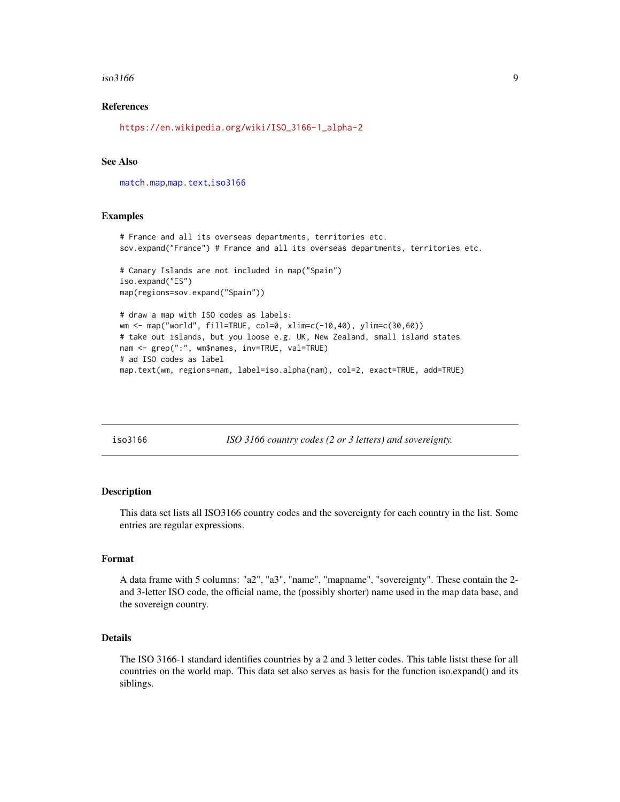#### <span id="page-8-0"></span> $\frac{1}{9}$  iso3166

# References

[https://en.wikipedia.org/wiki/ISO\\_3166-1\\_alpha-2](https://en.wikipedia.org/wiki/ISO_3166-1_alpha-2)

# See Also

[match.map](#page-22-1),[map.text](#page-20-1),[iso3166](#page-8-1)

#### Examples

```
# France and all its overseas departments, territories etc.
sov.expand("France") # France and all its overseas departments, territories etc.
# Canary Islands are not included in map("Spain")
iso.expand("ES")
map(regions=sov.expand("Spain"))
# draw a map with ISO codes as labels:
wm <- map("world", fill=TRUE, col=0, xlim=c(-10,40), ylim=c(30,60))
# take out islands, but you loose e.g. UK, New Zealand, small island states
nam <- grep(":", wm$names, inv=TRUE, val=TRUE)
# ad ISO codes as label
map.text(wm, regions=nam, label=iso.alpha(nam), col=2, exact=TRUE, add=TRUE)
```
<span id="page-8-1"></span>iso3166 *ISO 3166 country codes (2 or 3 letters) and sovereignty.*

#### Description

This data set lists all ISO3166 country codes and the sovereignty for each country in the list. Some entries are regular expressions.

#### Format

A data frame with 5 columns: "a2", "a3", "name", "mapname", "sovereignty". These contain the 2 and 3-letter ISO code, the official name, the (possibly shorter) name used in the map data base, and the sovereign country.

# Details

The ISO 3166-1 standard identifies countries by a 2 and 3 letter codes. This table listst these for all countries on the world map. This data set also serves as basis for the function iso.expand() and its siblings.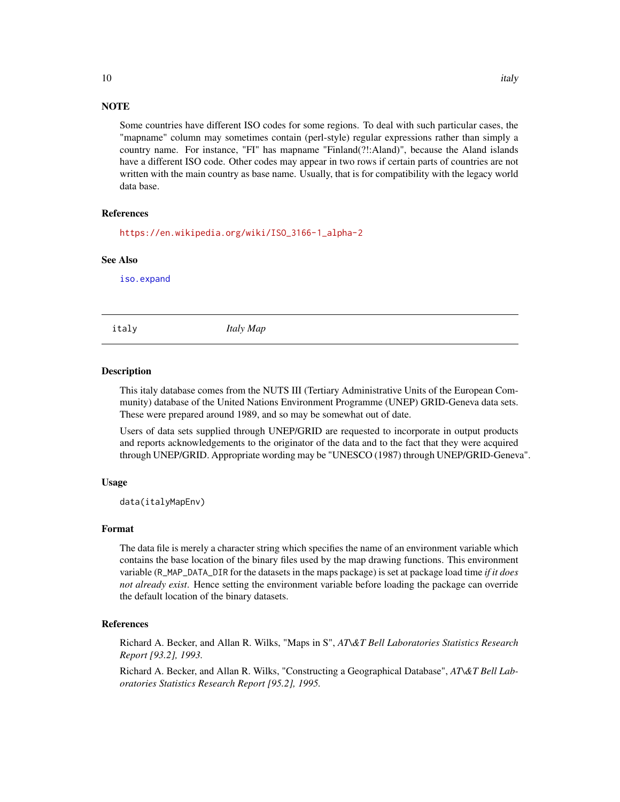# **NOTE**

Some countries have different ISO codes for some regions. To deal with such particular cases, the "mapname" column may sometimes contain (perl-style) regular expressions rather than simply a country name. For instance, "FI" has mapname "Finland(?!:Aland)", because the Aland islands have a different ISO code. Other codes may appear in two rows if certain parts of countries are not written with the main country as base name. Usually, that is for compatibility with the legacy world data base.

#### References

[https://en.wikipedia.org/wiki/ISO\\_3166-1\\_alpha-2](https://en.wikipedia.org/wiki/ISO_3166-1_alpha-2)

#### See Also

[iso.expand](#page-7-1)

italy *Italy Map*

#### Description

This italy database comes from the NUTS III (Tertiary Administrative Units of the European Community) database of the United Nations Environment Programme (UNEP) GRID-Geneva data sets. These were prepared around 1989, and so may be somewhat out of date.

Users of data sets supplied through UNEP/GRID are requested to incorporate in output products and reports acknowledgements to the originator of the data and to the fact that they were acquired through UNEP/GRID. Appropriate wording may be "UNESCO (1987) through UNEP/GRID-Geneva".

# Usage

data(italyMapEnv)

# Format

The data file is merely a character string which specifies the name of an environment variable which contains the base location of the binary files used by the map drawing functions. This environment variable (R\_MAP\_DATA\_DIR for the datasets in the maps package) is set at package load time *if it does not already exist*. Hence setting the environment variable before loading the package can override the default location of the binary datasets.

# References

Richard A. Becker, and Allan R. Wilks, "Maps in S", *AT\&T Bell Laboratories Statistics Research Report [93.2], 1993.*

Richard A. Becker, and Allan R. Wilks, "Constructing a Geographical Database", *AT\&T Bell Laboratories Statistics Research Report [95.2], 1995.*

# <span id="page-9-0"></span>10 italy in the contract of the contract of the contract of the contract of the contract of the contract of the contract of the contract of the contract of the contract of the contract of the contract of the contract of th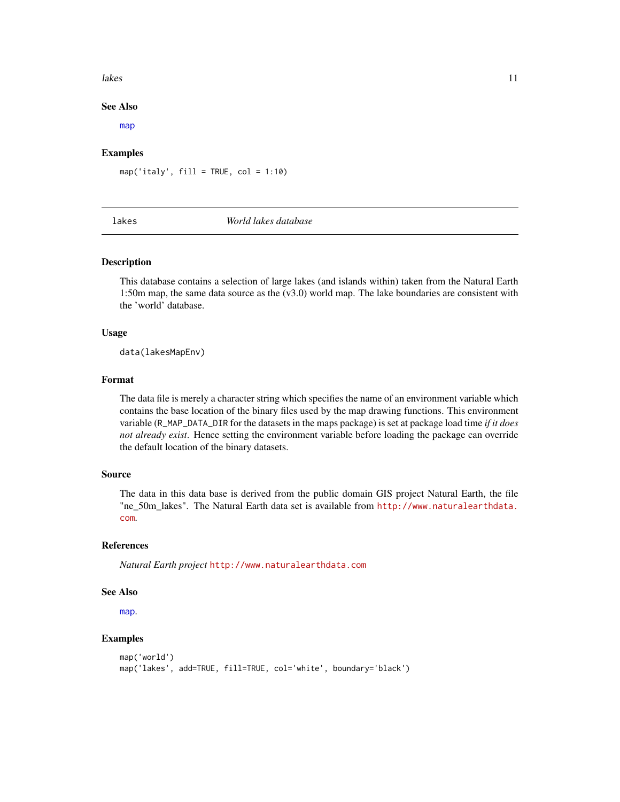#### <span id="page-10-0"></span>lakes and the set of the set of the set of the set of the set of the set of the set of the set of the set of the set of the set of the set of the set of the set of the set of the set of the set of the set of the set of the

# See Also

[map](#page-12-1)

# Examples

 $map('italy', fill = TRUE, col = 1:10)$ 

<span id="page-10-1"></span>

#### lakes *World lakes database*

# Description

This database contains a selection of large lakes (and islands within) taken from the Natural Earth 1:50m map, the same data source as the (v3.0) world map. The lake boundaries are consistent with the 'world' database.

# Usage

data(lakesMapEnv)

#### Format

The data file is merely a character string which specifies the name of an environment variable which contains the base location of the binary files used by the map drawing functions. This environment variable (R\_MAP\_DATA\_DIR for the datasets in the maps package) is set at package load time *if it does not already exist*. Hence setting the environment variable before loading the package can override the default location of the binary datasets.

# Source

The data in this data base is derived from the public domain GIS project Natural Earth, the file "ne\_50m\_lakes". The Natural Earth data set is available from [http://www.naturalearthdata.](http://www.naturalearthdata.com) [com](http://www.naturalearthdata.com).

# References

*Natural Earth project* <http://www.naturalearthdata.com>

# See Also

[map](#page-12-1).

```
map('world')
map('lakes', add=TRUE, fill=TRUE, col='white', boundary='black')
```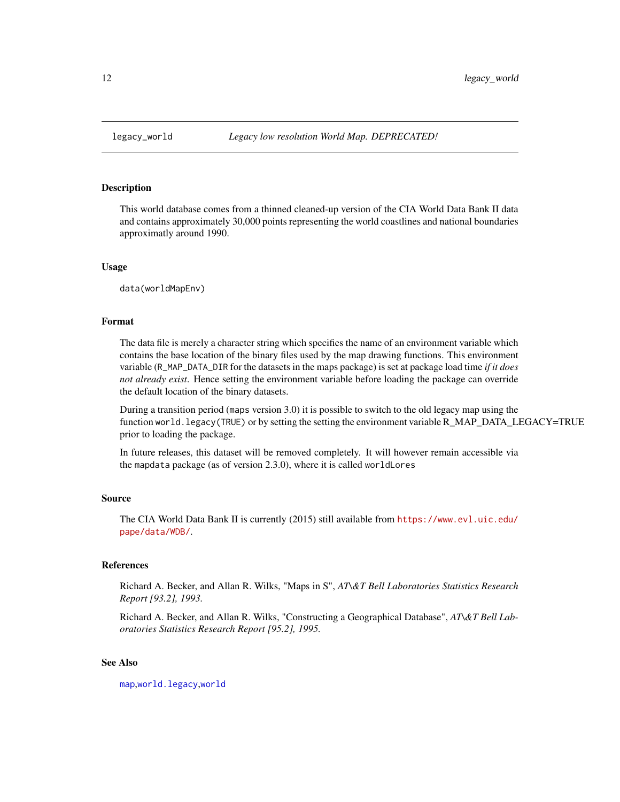<span id="page-11-1"></span><span id="page-11-0"></span>

This world database comes from a thinned cleaned-up version of the CIA World Data Bank II data and contains approximately 30,000 points representing the world coastlines and national boundaries approximatly around 1990.

#### Usage

data(worldMapEnv)

#### Format

The data file is merely a character string which specifies the name of an environment variable which contains the base location of the binary files used by the map drawing functions. This environment variable (R\_MAP\_DATA\_DIR for the datasets in the maps package) is set at package load time *if it does not already exist*. Hence setting the environment variable before loading the package can override the default location of the binary datasets.

During a transition period (maps version 3.0) it is possible to switch to the old legacy map using the function world.legacy(TRUE) or by setting the setting the environment variable R\_MAP\_DATA\_LEGACY=TRUE prior to loading the package.

In future releases, this dataset will be removed completely. It will however remain accessible via the mapdata package (as of version 2.3.0), where it is called worldLores

# Source

The CIA World Data Bank II is currently (2015) still available from [https://www.evl.uic.edu/](https://www.evl.uic.edu/pape/data/WDB/) [pape/data/WDB/](https://www.evl.uic.edu/pape/data/WDB/).

# References

Richard A. Becker, and Allan R. Wilks, "Maps in S", *AT\&T Bell Laboratories Statistics Research Report [93.2], 1993.*

Richard A. Becker, and Allan R. Wilks, "Constructing a Geographical Database", *AT\&T Bell Laboratories Statistics Research Report [95.2], 1995.*

# See Also

[map](#page-12-1),[world.legacy](#page-35-1),[world](#page-33-1)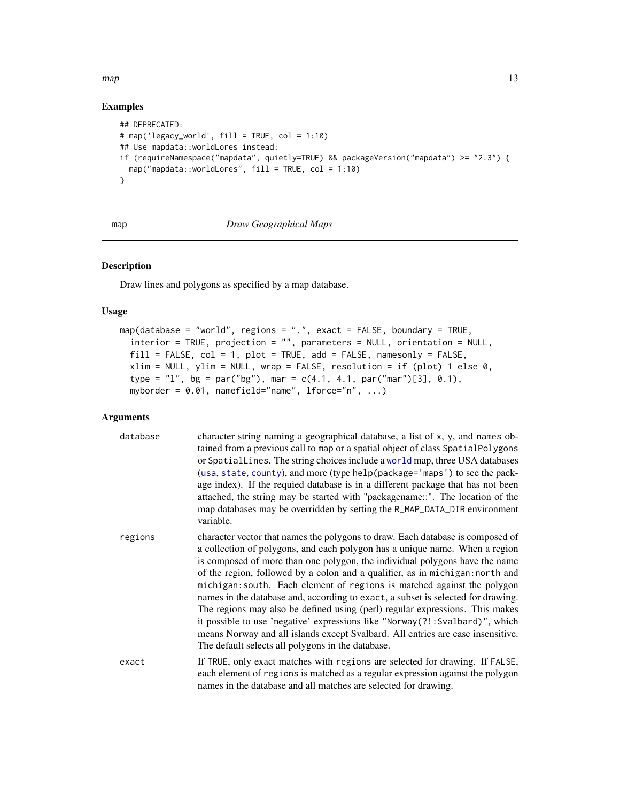#### <span id="page-12-0"></span> $map$  and  $13$

# Examples

```
## DEPRECATED:
# map('legacy_world', fill = TRUE, col = 1:10)
## Use mapdata::worldLores instead:
if (requireNamespace("mapdata", quietly=TRUE) && packageVersion("mapdata") >= "2.3") {
  map("mapdata::worldLores", fill = TRUE, col = 1:10)
}
```
# <span id="page-12-1"></span>map *Draw Geographical Maps*

# Description

Draw lines and polygons as specified by a map database.

# Usage

```
map(database = "world", regions = ".", exact = FALSE, boundary = TRUE,
  interior = TRUE, projection = "", parameters = NULL, orientation = NULL,
 fill = FALSE, col = 1, plot = TRUE, add = FALSE, namesonly = FALSE,xlim = NULL, ylim = NULL, wrap = FALSE, resolution = if (plot) 1 else 0,
 type = "l", bg = par("bg"), mar = c(4.1, 4.1, par("mar")[3], 0.1),
 myborder = 0.01, namefield="name", lforce="n", ...)
```
# Arguments

| database | character string naming a geographical database, a list of x, y, and names ob-<br>tained from a previous call to map or a spatial object of class SpatialPolygons<br>or Spatiallines. The string choices include a world map, three USA databases<br>(usa, state, county), and more (type help (package='maps') to see the pack-<br>age index). If the requied database is in a different package that has not been<br>attached, the string may be started with "packagename::". The location of the<br>map databases may be overridden by setting the R_MAP_DATA_DIR environment<br>variable.                                                                                                                                                                                                       |
|----------|------------------------------------------------------------------------------------------------------------------------------------------------------------------------------------------------------------------------------------------------------------------------------------------------------------------------------------------------------------------------------------------------------------------------------------------------------------------------------------------------------------------------------------------------------------------------------------------------------------------------------------------------------------------------------------------------------------------------------------------------------------------------------------------------------|
| regions  | character vector that names the polygons to draw. Each database is composed of<br>a collection of polygons, and each polygon has a unique name. When a region<br>is composed of more than one polygon, the individual polygons have the name<br>of the region, followed by a colon and a qualifier, as in michigan: north and<br>michigan: south. Each element of regions is matched against the polygon<br>names in the database and, according to exact, a subset is selected for drawing.<br>The regions may also be defined using (perl) regular expressions. This makes<br>it possible to use 'negative' expressions like "Norway(?!: Svalbard)", which<br>means Norway and all islands except Svalbard. All entries are case insensitive.<br>The default selects all polygons in the database. |
| exact    | If TRUE, only exact matches with regions are selected for drawing. If FALSE,<br>each element of regions is matched as a regular expression against the polygon<br>names in the database and all matches are selected for drawing.                                                                                                                                                                                                                                                                                                                                                                                                                                                                                                                                                                    |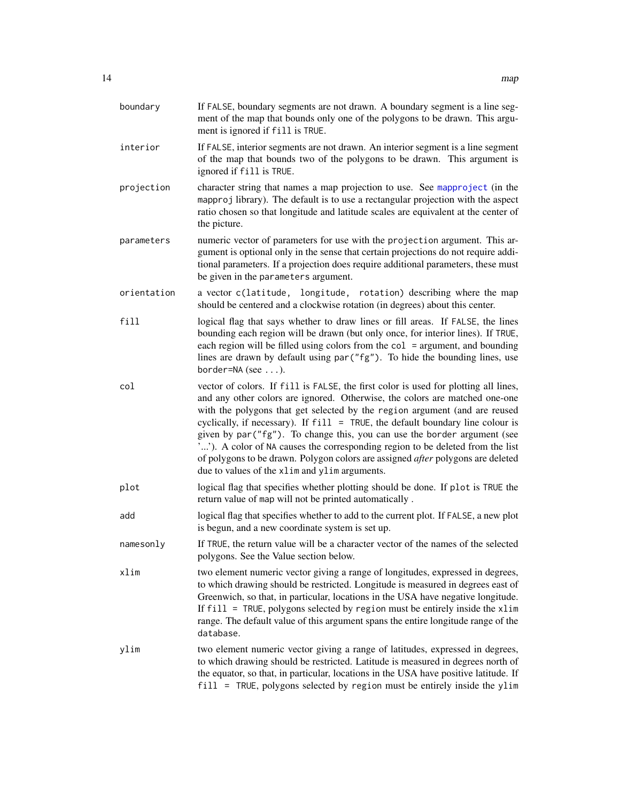<span id="page-13-0"></span>

| boundary    | If FALSE, boundary segments are not drawn. A boundary segment is a line seg-<br>ment of the map that bounds only one of the polygons to be drawn. This argu-<br>ment is ignored if fill is TRUE.                                                                                                                                                                                                                                                                                                                                                                                                                                                |
|-------------|-------------------------------------------------------------------------------------------------------------------------------------------------------------------------------------------------------------------------------------------------------------------------------------------------------------------------------------------------------------------------------------------------------------------------------------------------------------------------------------------------------------------------------------------------------------------------------------------------------------------------------------------------|
| interior    | If FALSE, interior segments are not drawn. An interior segment is a line segment<br>of the map that bounds two of the polygons to be drawn. This argument is<br>ignored if fill is TRUE.                                                                                                                                                                                                                                                                                                                                                                                                                                                        |
| projection  | character string that names a map projection to use. See mapproject (in the<br>mapproj library). The default is to use a rectangular projection with the aspect<br>ratio chosen so that longitude and latitude scales are equivalent at the center of<br>the picture.                                                                                                                                                                                                                                                                                                                                                                           |
| parameters  | numeric vector of parameters for use with the projection argument. This ar-<br>gument is optional only in the sense that certain projections do not require addi-<br>tional parameters. If a projection does require additional parameters, these must<br>be given in the parameters argument.                                                                                                                                                                                                                                                                                                                                                  |
| orientation | a vector c(latitude, longitude, rotation) describing where the map<br>should be centered and a clockwise rotation (in degrees) about this center.                                                                                                                                                                                                                                                                                                                                                                                                                                                                                               |
| fill        | logical flag that says whether to draw lines or fill areas. If FALSE, the lines<br>bounding each region will be drawn (but only once, for interior lines). If TRUE,<br>each region will be filled using colors from the $col = argument$ , and bounding<br>lines are drawn by default using par ("fg"). To hide the bounding lines, use<br>border=NA (see ).                                                                                                                                                                                                                                                                                    |
| col         | vector of colors. If fill is FALSE, the first color is used for plotting all lines,<br>and any other colors are ignored. Otherwise, the colors are matched one-one<br>with the polygons that get selected by the region argument (and are reused<br>cyclically, if necessary). If $fill = TRUE$ , the default boundary line colour is<br>given by par ("fg"). To change this, you can use the border argument (see<br>""). A color of NA causes the corresponding region to be deleted from the list<br>of polygons to be drawn. Polygon colors are assigned <i>after</i> polygons are deleted<br>due to values of the xlim and ylim arguments. |
| plot        | logical flag that specifies whether plotting should be done. If plot is TRUE the<br>return value of map will not be printed automatically.                                                                                                                                                                                                                                                                                                                                                                                                                                                                                                      |
| add         | logical flag that specifies whether to add to the current plot. If FALSE, a new plot<br>is begun, and a new coordinate system is set up.                                                                                                                                                                                                                                                                                                                                                                                                                                                                                                        |
| namesonly   | If TRUE, the return value will be a character vector of the names of the selected<br>polygons. See the Value section below.                                                                                                                                                                                                                                                                                                                                                                                                                                                                                                                     |
| xlim        | two element numeric vector giving a range of longitudes, expressed in degrees,<br>to which drawing should be restricted. Longitude is measured in degrees east of<br>Greenwich, so that, in particular, locations in the USA have negative longitude.<br>If $fill$ = TRUE, polygons selected by region must be entirely inside the xlim<br>range. The default value of this argument spans the entire longitude range of the<br>database.                                                                                                                                                                                                       |
| ylim        | two element numeric vector giving a range of latitudes, expressed in degrees,<br>to which drawing should be restricted. Latitude is measured in degrees north of<br>the equator, so that, in particular, locations in the USA have positive latitude. If<br>fill = TRUE, polygons selected by region must be entirely inside the ylim                                                                                                                                                                                                                                                                                                           |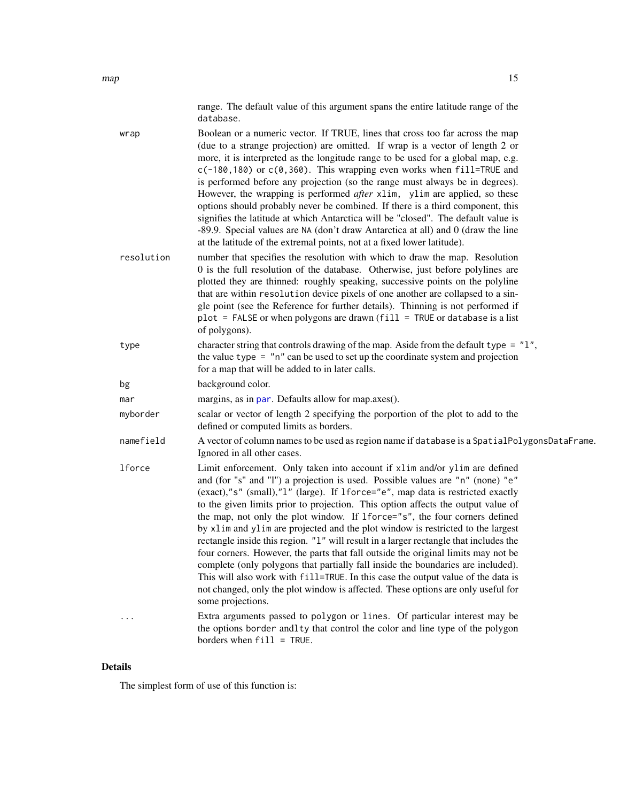<span id="page-14-0"></span>

| wrap          | Boolean or a numeric vector. If TRUE, lines that cross too far across the map<br>(due to a strange projection) are omitted. If wrap is a vector of length 2 or<br>more, it is interpreted as the longitude range to be used for a global map, e.g.<br>$c(-180, 180)$ or $c(0, 360)$ . This wrapping even works when fill=TRUE and<br>is performed before any projection (so the range must always be in degrees).<br>However, the wrapping is performed after xlim, ylim are applied, so these<br>options should probably never be combined. If there is a third component, this<br>signifies the latitude at which Antarctica will be "closed". The default value is<br>-89.9. Special values are NA (don't draw Antarctica at all) and 0 (draw the line<br>at the latitude of the extremal points, not at a fixed lower latitude).                                                                                                                                |
|---------------|---------------------------------------------------------------------------------------------------------------------------------------------------------------------------------------------------------------------------------------------------------------------------------------------------------------------------------------------------------------------------------------------------------------------------------------------------------------------------------------------------------------------------------------------------------------------------------------------------------------------------------------------------------------------------------------------------------------------------------------------------------------------------------------------------------------------------------------------------------------------------------------------------------------------------------------------------------------------|
| resolution    | number that specifies the resolution with which to draw the map. Resolution<br>0 is the full resolution of the database. Otherwise, just before polylines are<br>plotted they are thinned: roughly speaking, successive points on the polyline<br>that are within resolution device pixels of one another are collapsed to a sin-<br>gle point (see the Reference for further details). Thinning is not performed if<br>$plot = FALSE$ or when polygons are drawn ( $fill = TRUE$ or database is a list<br>of polygons).                                                                                                                                                                                                                                                                                                                                                                                                                                            |
| type          | character string that controls drawing of the map. Aside from the default type = "1",<br>the value type $=$ "n" can be used to set up the coordinate system and projection<br>for a map that will be added to in later calls.                                                                                                                                                                                                                                                                                                                                                                                                                                                                                                                                                                                                                                                                                                                                       |
| bg            | background color.                                                                                                                                                                                                                                                                                                                                                                                                                                                                                                                                                                                                                                                                                                                                                                                                                                                                                                                                                   |
| mar           | margins, as in par. Defaults allow for map.axes().                                                                                                                                                                                                                                                                                                                                                                                                                                                                                                                                                                                                                                                                                                                                                                                                                                                                                                                  |
| myborder      | scalar or vector of length 2 specifying the porportion of the plot to add to the<br>defined or computed limits as borders.                                                                                                                                                                                                                                                                                                                                                                                                                                                                                                                                                                                                                                                                                                                                                                                                                                          |
| namefield     | A vector of column names to be used as region name if database is a SpatialPolygonsDataFrame.<br>Ignored in all other cases.                                                                                                                                                                                                                                                                                                                                                                                                                                                                                                                                                                                                                                                                                                                                                                                                                                        |
| <b>1force</b> | Limit enforcement. Only taken into account if xlim and/or ylim are defined<br>and (for "s" and "l") a projection is used. Possible values are "n" (none) "e"<br>(exact),"s" (small),"1" (large). If 1force="e", map data is restricted exactly<br>to the given limits prior to projection. This option affects the output value of<br>the map, not only the plot window. If 1 force="s", the four corners defined<br>by xlim and ylim are projected and the plot window is restricted to the largest<br>rectangle inside this region. "1" will result in a larger rectangle that includes the<br>four corners. However, the parts that fall outside the original limits may not be<br>complete (only polygons that partially fall inside the boundaries are included).<br>This will also work with fill=TRUE. In this case the output value of the data is<br>not changed, only the plot window is affected. These options are only useful for<br>some projections. |
| $\cdots$      | Extra arguments passed to polygon or lines. Of particular interest may be<br>the options border and lty that control the color and line type of the polygon                                                                                                                                                                                                                                                                                                                                                                                                                                                                                                                                                                                                                                                                                                                                                                                                         |

# Details

The simplest form of use of this function is:

borders when fill = TRUE.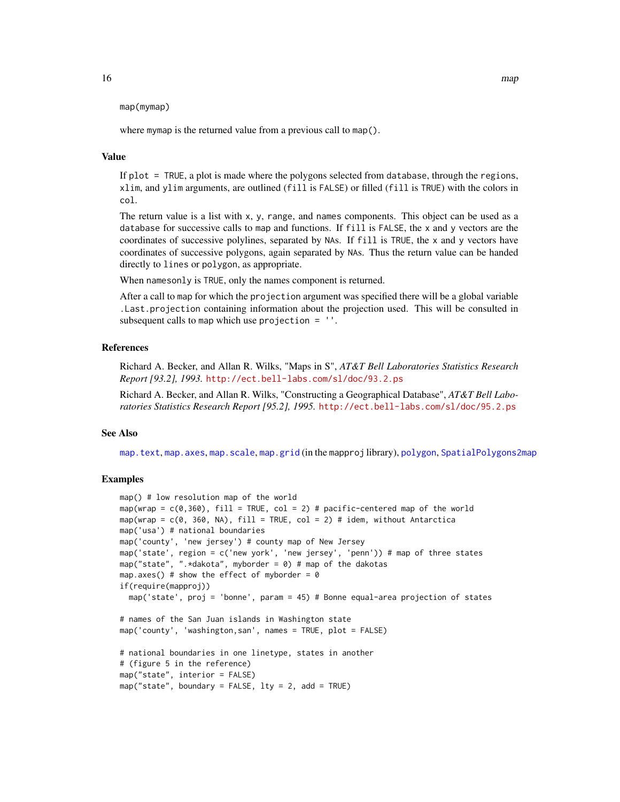<span id="page-15-0"></span>map(mymap)

where mymap is the returned value from a previous call to map().

# Value

If plot = TRUE, a plot is made where the polygons selected from database, through the regions, xlim, and ylim arguments, are outlined (fill is FALSE) or filled (fill is TRUE) with the colors in col.

The return value is a list with x, y, range, and names components. This object can be used as a database for successive calls to map and functions. If fill is FALSE, the x and y vectors are the coordinates of successive polylines, separated by NAs. If fill is TRUE, the x and y vectors have coordinates of successive polygons, again separated by NAs. Thus the return value can be handed directly to lines or polygon, as appropriate.

When namesonly is TRUE, only the names component is returned.

After a call to map for which the projection argument was specified there will be a global variable .Last.projection containing information about the projection used. This will be consulted in subsequent calls to map which use projection  $=$   $'$ .

# References

Richard A. Becker, and Allan R. Wilks, "Maps in S", *AT&T Bell Laboratories Statistics Research Report [93.2], 1993.* <http://ect.bell-labs.com/sl/doc/93.2.ps>

Richard A. Becker, and Allan R. Wilks, "Constructing a Geographical Database", *AT&T Bell Laboratories Statistics Research Report [95.2], 1995.* <http://ect.bell-labs.com/sl/doc/95.2.ps>

# See Also

[map.text](#page-20-1), [map.axes](#page-16-1), [map.scale](#page-19-1), [map.grid](#page-0-0) (in the mapproj library), [polygon](#page-0-0), [SpatialPolygons2map](#page-27-1)

```
map() # low resolution map of the world
map(wrap = c(0,360), fill = TRUE, col = 2) # pacific-centered map of the world
map(wrap = c(0, 360, NA), fill = TRUE, col = 2) # idem, without Antarctica
map('usa') # national boundaries
map('county', 'new jersey') # county map of New Jersey
map('state', region = c('new york', 'new jersey', 'penn')) # map of three states
map("state", ".*dakota", myborder = 0) # map of the dakotas
map.axes() # show the effect of myborder = 0if(require(mapproj))
 map('state', proj = 'bonne', param = 45) # Bonne equal-area projection of states
# names of the San Juan islands in Washington state
map('county', 'washington,san', names = TRUE, plot = FALSE)
# national boundaries in one linetype, states in another
# (figure 5 in the reference)
map("state", interior = FALSE)
map("state", boundary = FALSE, lty = 2, add = TRUE)
```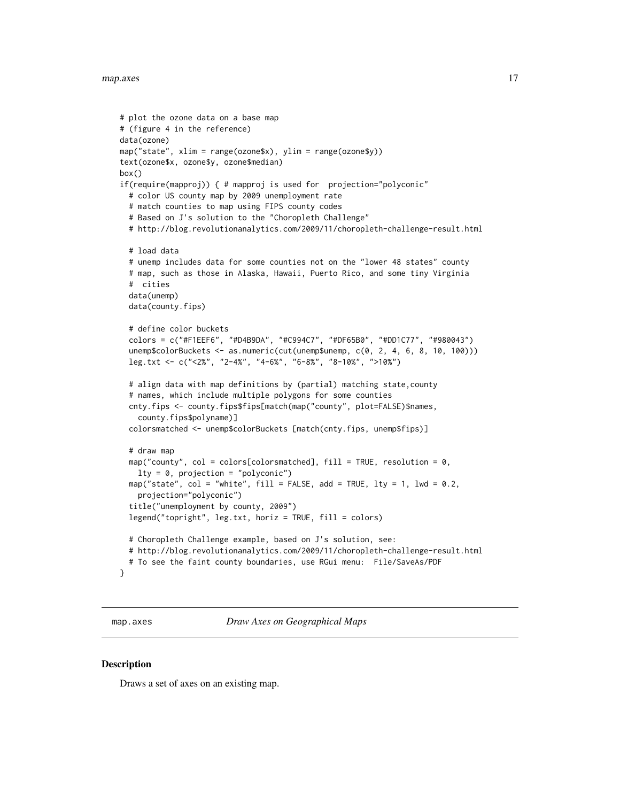#### <span id="page-16-0"></span>map.axes and the contract of the contract of the contract of the contract of the contract of the contract of the contract of the contract of the contract of the contract of the contract of the contract of the contract of t

```
# plot the ozone data on a base map
# (figure 4 in the reference)
data(ozone)
map("state", xlim = range(ozone$x), ylim = range(ozone$y))
text(ozone$x, ozone$y, ozone$median)
box()
if(require(mapproj)) { # mapproj is used for projection="polyconic"
  # color US county map by 2009 unemployment rate
  # match counties to map using FIPS county codes
  # Based on J's solution to the "Choropleth Challenge"
  # http://blog.revolutionanalytics.com/2009/11/choropleth-challenge-result.html
  # load data
  # unemp includes data for some counties not on the "lower 48 states" county
  # map, such as those in Alaska, Hawaii, Puerto Rico, and some tiny Virginia
  # cities
  data(unemp)
  data(county.fips)
  # define color buckets
  colors = c("#F1EEF6", "#D4B9DA", "#C994C7", "#DF65B0", "#DD1C77", "#980043")
  unemp$colorBuckets <- as.numeric(cut(unemp$unemp, c(0, 2, 4, 6, 8, 10, 100)))
  leg.txt <- c("<2%", "2-4%", "4-6%", "6-8%", "8-10%", ">10%")
  # align data with map definitions by (partial) matching state,county
  # names, which include multiple polygons for some counties
  cnty.fips <- county.fips$fips[match(map("county", plot=FALSE)$names,
    county.fips$polyname)]
  colorsmatched <- unemp$colorBuckets [match(cnty.fips, unemp$fips)]
  # draw map
  map("county", col = colors[colorsmatched], fill = TRUE, resolution = 0,lty = 0, projection = "polyconic")
  map("state", col = "white", fill = FALSE, add = TRUE, lty = 1, lwd = 0.2,
    projection="polyconic")
  title("unemployment by county, 2009")
  legend("topright", leg.txt, horiz = TRUE, fill = colors)
  # Choropleth Challenge example, based on J's solution, see:
  # http://blog.revolutionanalytics.com/2009/11/choropleth-challenge-result.html
  # To see the faint county boundaries, use RGui menu: File/SaveAs/PDF
}
```
<span id="page-16-1"></span>map.axes *Draw Axes on Geographical Maps*

#### Description

Draws a set of axes on an existing map.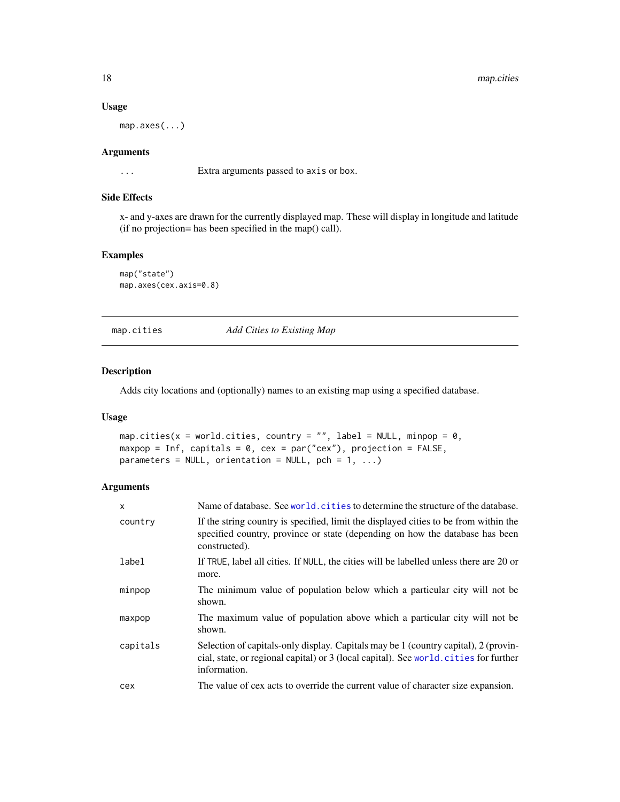# Usage

map.axes(...)

# Arguments

... Extra arguments passed to axis or box.

# Side Effects

x- and y-axes are drawn for the currently displayed map. These will display in longitude and latitude (if no projection= has been specified in the map() call).

# Examples

```
map("state")
map.axes(cex.axis=0.8)
```
<span id="page-17-1"></span>map.cities *Add Cities to Existing Map*

# Description

Adds city locations and (optionally) names to an existing map using a specified database.

# Usage

```
map.cities(x = world.cities, country = "", label = NULL, minpop = 0,
maxpop = Inf, capitals = 0, cex = par("cex"), projection = FALSE,
parameters = NULL, orientation = NULL, pch = 1, ...)
```
# Arguments

| $\mathsf{x}$ | Name of database. See world, cities to determine the structure of the database.                                                                                                             |
|--------------|---------------------------------------------------------------------------------------------------------------------------------------------------------------------------------------------|
| country      | If the string country is specified, limit the displayed cities to be from within the<br>specified country, province or state (depending on how the database has been<br>constructed).       |
| label        | If TRUE, label all cities. If NULL, the cities will be labelled unless there are 20 or<br>more.                                                                                             |
| minpop       | The minimum value of population below which a particular city will not be<br>shown.                                                                                                         |
| maxpop       | The maximum value of population above which a particular city will not be<br>shown.                                                                                                         |
| capitals     | Selection of capitals-only display. Capitals may be 1 (country capital), 2 (provin-<br>cial, state, or regional capital) or 3 (local capital). See world cities for further<br>information. |
| cex          | The value of cex acts to override the current value of character size expansion.                                                                                                            |

<span id="page-17-0"></span>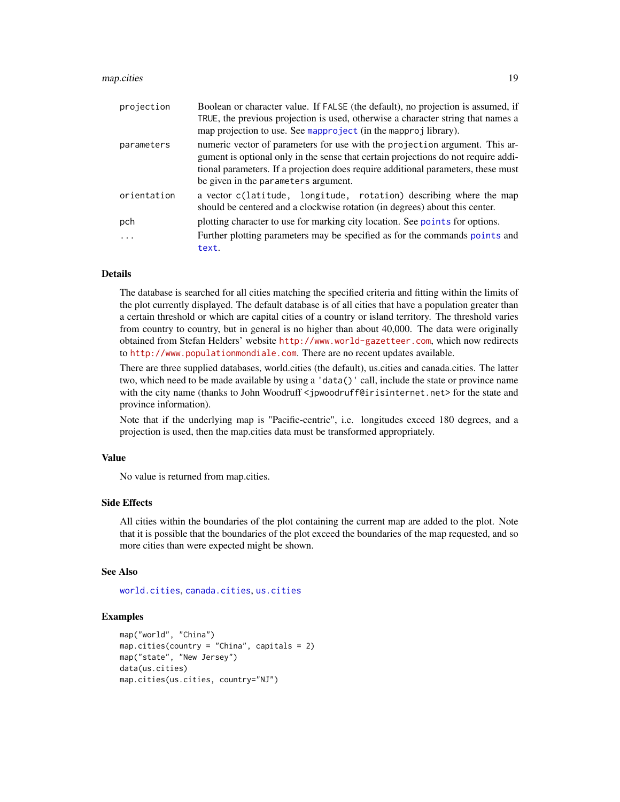#### <span id="page-18-0"></span>map.cities 2012 19

| projection  | Boolean or character value. If FALSE (the default), no projection is assumed, if<br>TRUE, the previous projection is used, otherwise a character string that names a                                                                                                                           |
|-------------|------------------------------------------------------------------------------------------------------------------------------------------------------------------------------------------------------------------------------------------------------------------------------------------------|
|             | map projection to use. See mapproject (in the mapproj library).                                                                                                                                                                                                                                |
| parameters  | numeric vector of parameters for use with the projection argument. This ar-<br>gument is optional only in the sense that certain projections do not require addi-<br>tional parameters. If a projection does require additional parameters, these must<br>be given in the parameters argument. |
| orientation | a vector c(latitude, longitude, rotation) describing where the map<br>should be centered and a clockwise rotation (in degrees) about this center.                                                                                                                                              |
| pch         | plotting character to use for marking city location. See points for options.                                                                                                                                                                                                                   |
| .           | Further plotting parameters may be specified as for the commands points and<br>text.                                                                                                                                                                                                           |

# Details

The database is searched for all cities matching the specified criteria and fitting within the limits of the plot currently displayed. The default database is of all cities that have a population greater than a certain threshold or which are capital cities of a country or island territory. The threshold varies from country to country, but in general is no higher than about 40,000. The data were originally obtained from Stefan Helders' website <http://www.world-gazetteer.com>, which now redirects to <http://www.populationmondiale.com>. There are no recent updates available.

There are three supplied databases, world.cities (the default), us.cities and canada.cities. The latter two, which need to be made available by using a 'data()' call, include the state or province name with the city name (thanks to John Woodruff <jpwoodruff@irisinternet.net> for the state and province information).

Note that if the underlying map is "Pacific-centric", i.e. longitudes exceed 180 degrees, and a projection is used, then the map.cities data must be transformed appropriately.

# Value

No value is returned from map.cities.

#### Side Effects

All cities within the boundaries of the plot containing the current map are added to the plot. Note that it is possible that the boundaries of the plot exceed the boundaries of the map requested, and so more cities than were expected might be shown.

#### See Also

[world.cities](#page-34-1), [canada.cities](#page-3-2), [us.cities](#page-31-1)

```
map("world", "China")
map.cities(country = "China", capitals = 2)
map("state", "New Jersey")
data(us.cities)
map.cities(us.cities, country="NJ")
```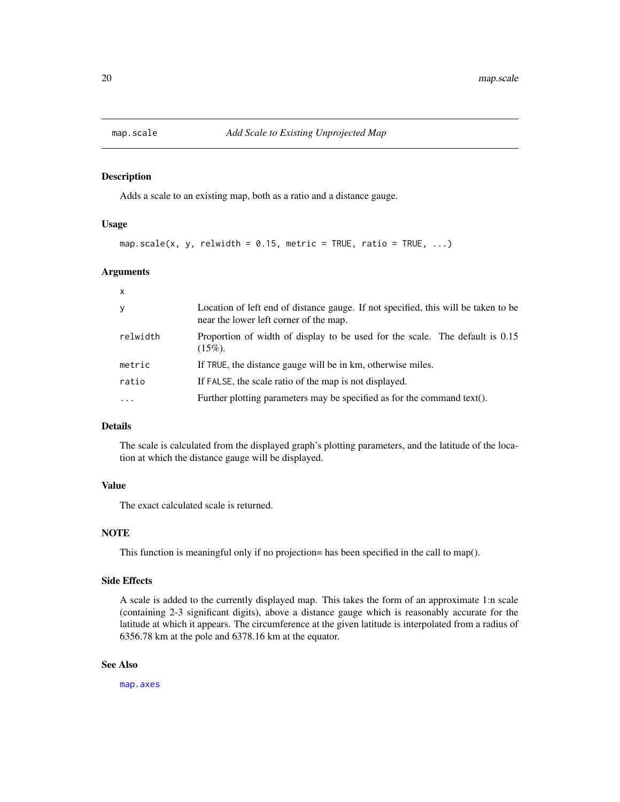<span id="page-19-1"></span><span id="page-19-0"></span>

Adds a scale to an existing map, both as a ratio and a distance gauge.

#### Usage

```
map.scale(x, y, relwidth = 0.15, metric = TRUE, ratio = TRUE, \ldots)
```
#### Arguments

| x        |                                                                                                                              |
|----------|------------------------------------------------------------------------------------------------------------------------------|
| У        | Location of left end of distance gauge. If not specified, this will be taken to be<br>near the lower left corner of the map. |
| relwidth | Proportion of width of display to be used for the scale. The default is 0.15<br>$(15\%)$ .                                   |
| metric   | If TRUE, the distance gauge will be in km, otherwise miles.                                                                  |
| ratio    | If FALSE, the scale ratio of the map is not displayed.                                                                       |
| $\cdots$ | Further plotting parameters may be specified as for the command text().                                                      |

# Details

The scale is calculated from the displayed graph's plotting parameters, and the latitude of the location at which the distance gauge will be displayed.

# Value

The exact calculated scale is returned.

# **NOTE**

This function is meaningful only if no projection= has been specified in the call to map().

# Side Effects

A scale is added to the currently displayed map. This takes the form of an approximate 1:n scale (containing 2-3 significant digits), above a distance gauge which is reasonably accurate for the latitude at which it appears. The circumference at the given latitude is interpolated from a radius of 6356.78 km at the pole and 6378.16 km at the equator.

# See Also

[map.axes](#page-16-1)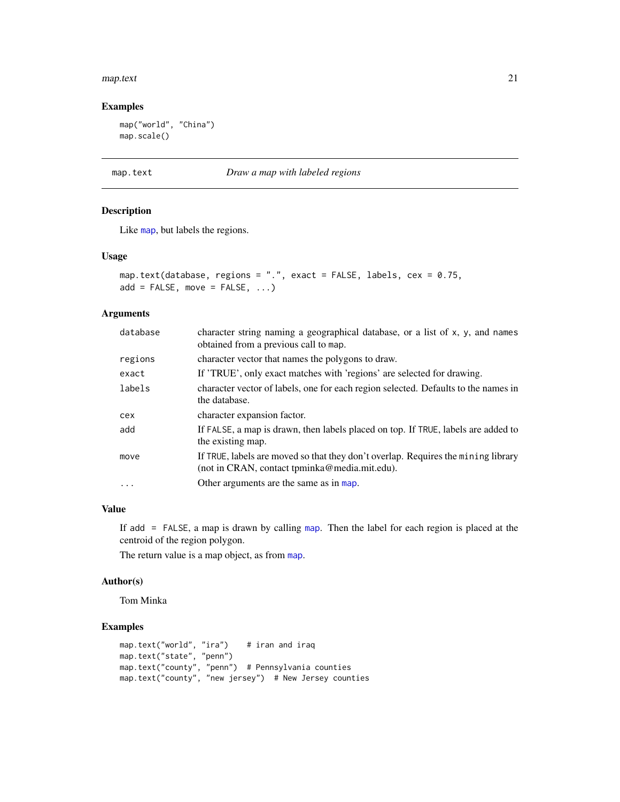#### <span id="page-20-0"></span>map.text 21

# Examples

map("world", "China") map.scale()

#### <span id="page-20-1"></span>map.text *Draw a map with labeled regions*

# Description

Like [map](#page-12-1), but labels the regions.

# Usage

```
map.text(database, regions = ".", exact = FALSE, labels, cex = 0.75,
add = FALSE, move = FALSE, ...)
```
# Arguments

| database  | character string naming a geographical database, or a list of x, y, and names<br>obtained from a previous call to map.             |
|-----------|------------------------------------------------------------------------------------------------------------------------------------|
| regions   | character vector that names the polygons to draw.                                                                                  |
| exact     | If 'TRUE', only exact matches with 'regions' are selected for drawing.                                                             |
| labels    | character vector of labels, one for each region selected. Defaults to the names in<br>the database.                                |
| cex       | character expansion factor.                                                                                                        |
| add       | If FALSE, a map is drawn, then labels placed on top. If TRUE, labels are added to<br>the existing map.                             |
| move      | If TRUE, labels are moved so that they don't overlap. Requires the mining library<br>(not in CRAN, contact tpminka@media.mit.edu). |
| $\ddotsc$ | Other arguments are the same as in map.                                                                                            |

# Value

If add = FALSE, a map is drawn by calling [map](#page-12-1). Then the label for each region is placed at the centroid of the region polygon.

The return value is a map object, as from [map](#page-12-1).

# Author(s)

Tom Minka

```
map.text("world", "ira") # iran and iraq
map.text("state", "penn")
map.text("county", "penn") # Pennsylvania counties
map.text("county", "new jersey") # New Jersey counties
```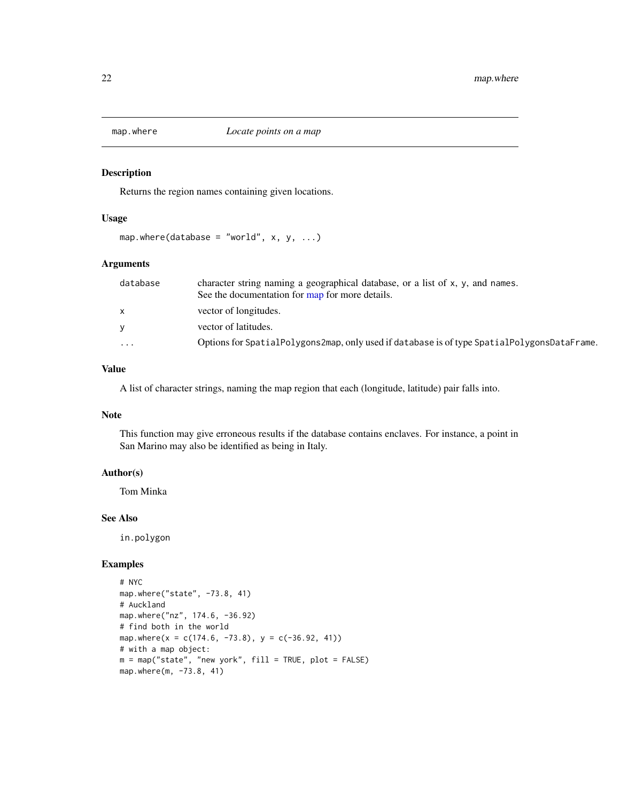<span id="page-21-1"></span><span id="page-21-0"></span>

Returns the region names containing given locations.

# Usage

map.where(database = "world",  $x, y, ...$ )

# Arguments

| database     | character string naming a geographical database, or a list of x, y, and names.<br>See the documentation for map for more details. |
|--------------|-----------------------------------------------------------------------------------------------------------------------------------|
| $\mathsf{x}$ | vector of longitudes.                                                                                                             |
| V            | vector of latitudes.                                                                                                              |
| $\cdots$     | Options for SpatialPolygons2map, only used if database is of type SpatialPolygonsDataFrame.                                       |

# Value

A list of character strings, naming the map region that each (longitude, latitude) pair falls into.

# Note

This function may give erroneous results if the database contains enclaves. For instance, a point in San Marino may also be identified as being in Italy.

# Author(s)

Tom Minka

# See Also

in.polygon

```
# NYC
map.where("state", -73.8, 41)
# Auckland
map.where("nz", 174.6, -36.92)
# find both in the world
map.where(x = c(174.6, -73.8), y = c(-36.92, 41))
# with a map object:
m = map("state", "new work", fill = TRUE, plot = FALSE)map.where(m, -73.8, 41)
```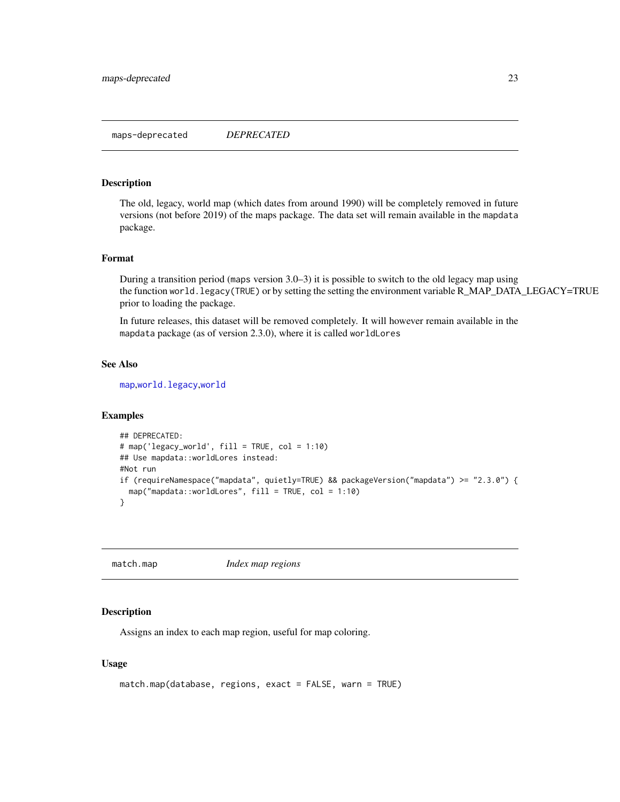<span id="page-22-0"></span>The old, legacy, world map (which dates from around 1990) will be completely removed in future versions (not before 2019) of the maps package. The data set will remain available in the mapdata package.

#### Format

During a transition period (maps version 3.0–3) it is possible to switch to the old legacy map using the function world.legacy(TRUE) or by setting the setting the environment variable R\_MAP\_DATA\_LEGACY=TRUE prior to loading the package.

In future releases, this dataset will be removed completely. It will however remain available in the mapdata package (as of version 2.3.0), where it is called worldLores

#### See Also

[map](#page-12-1),[world.legacy](#page-35-1),[world](#page-33-1)

# Examples

```
## DEPRECATED:
# map('legacy_world', fill = TRUE, col = 1:10)
## Use mapdata::worldLores instead:
#Not run
if (requireNamespace("mapdata", quietly=TRUE) && packageVersion("mapdata") >= "2.3.0") {
  map("mapdata::worldLores", fill = TRUE, col = 1:10)
}
```
<span id="page-22-1"></span>match.map *Index map regions*

# **Description**

Assigns an index to each map region, useful for map coloring.

# Usage

```
match.map(database, regions, exact = FALSE, warn = TRUE)
```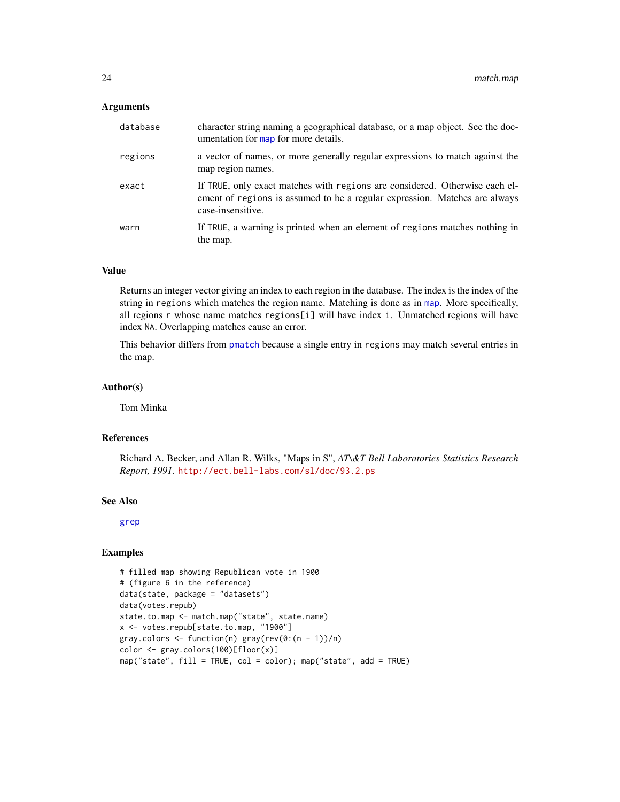### <span id="page-23-0"></span>**Arguments**

| database | character string naming a geographical database, or a map object. See the doc-<br>umentation for map for more details.                                                         |
|----------|--------------------------------------------------------------------------------------------------------------------------------------------------------------------------------|
| regions  | a vector of names, or more generally regular expressions to match against the<br>map region names.                                                                             |
| exact    | If TRUE, only exact matches with regions are considered. Otherwise each el-<br>ement of regions is assumed to be a regular expression. Matches are always<br>case-insensitive. |
| warn     | If TRUE, a warning is printed when an element of regions matches nothing in<br>the map.                                                                                        |

# Value

Returns an integer vector giving an index to each region in the database. The index is the index of the string in regions which matches the region name. Matching is done as in [map](#page-12-1). More specifically, all regions r whose name matches regions[i] will have index i. Unmatched regions will have index NA. Overlapping matches cause an error.

This behavior differs from [pmatch](#page-0-0) because a single entry in regions may match several entries in the map.

#### Author(s)

Tom Minka

#### References

Richard A. Becker, and Allan R. Wilks, "Maps in S", *AT\&T Bell Laboratories Statistics Research Report, 1991.* <http://ect.bell-labs.com/sl/doc/93.2.ps>

# See Also

[grep](#page-0-0)

```
# filled map showing Republican vote in 1900
# (figure 6 in the reference)
data(state, package = "datasets")
data(votes.repub)
state.to.map <- match.map("state", state.name)
x <- votes.repub[state.to.map, "1900"]
gray.colors < -function(n) gray(rev(0:(n - 1))/n)color <- gray.colors(100)[floor(x)]
map("state", fill = TRUE, col = color); map("state", add = TRUE)
```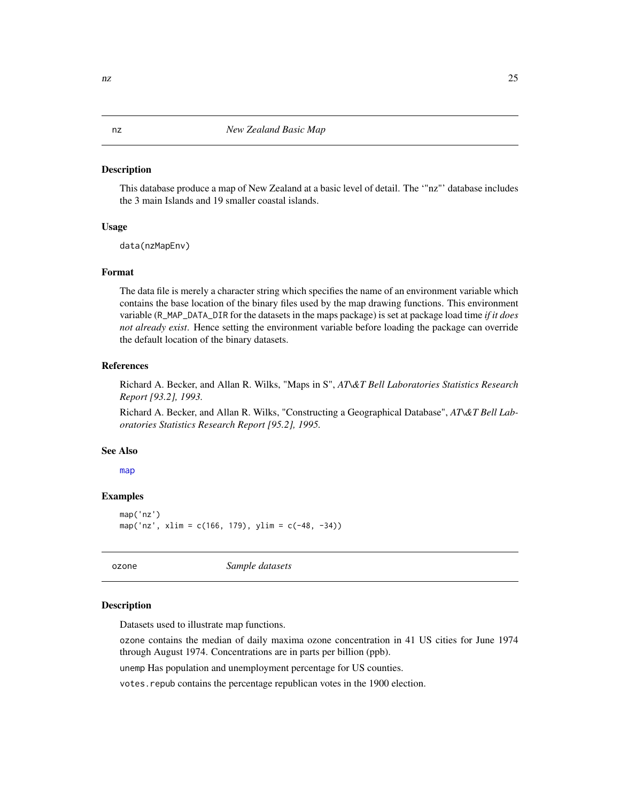<span id="page-24-0"></span>This database produce a map of New Zealand at a basic level of detail. The '"nz"' database includes the 3 main Islands and 19 smaller coastal islands.

# Usage

data(nzMapEnv)

# Format

The data file is merely a character string which specifies the name of an environment variable which contains the base location of the binary files used by the map drawing functions. This environment variable (R\_MAP\_DATA\_DIR for the datasets in the maps package) is set at package load time *if it does not already exist*. Hence setting the environment variable before loading the package can override the default location of the binary datasets.

# References

Richard A. Becker, and Allan R. Wilks, "Maps in S", *AT\&T Bell Laboratories Statistics Research Report [93.2], 1993.*

Richard A. Becker, and Allan R. Wilks, "Constructing a Geographical Database", *AT\&T Bell Laboratories Statistics Research Report [95.2], 1995.*

#### See Also

[map](#page-12-1)

#### Examples

```
map('nz')
map('nz', xlim = c(166, 179), ylim = c(-48, -34))
```
ozone *Sample datasets*

# Description

Datasets used to illustrate map functions.

ozone contains the median of daily maxima ozone concentration in 41 US cities for June 1974 through August 1974. Concentrations are in parts per billion (ppb).

unemp Has population and unemployment percentage for US counties.

votes.repub contains the percentage republican votes in the 1900 election.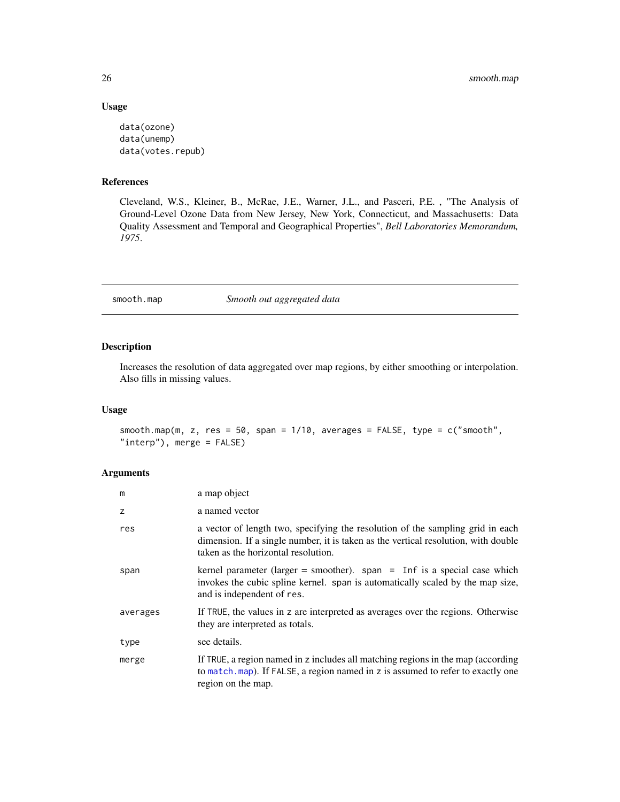# Usage

```
data(ozone)
data(unemp)
data(votes.repub)
```
# References

Cleveland, W.S., Kleiner, B., McRae, J.E., Warner, J.L., and Pasceri, P.E. , "The Analysis of Ground-Level Ozone Data from New Jersey, New York, Connecticut, and Massachusetts: Data Quality Assessment and Temporal and Geographical Properties", *Bell Laboratories Memorandum, 1975*.

smooth.map *Smooth out aggregated data*

# Description

Increases the resolution of data aggregated over map regions, by either smoothing or interpolation. Also fills in missing values.

# Usage

```
smooth.map(m, z, res = 50, span = 1/10, averages = FALSE, type = c("smooth","interp"), merge = FALSE)
```
# Arguments

| m        | a map object                                                                                                                                                                                                |
|----------|-------------------------------------------------------------------------------------------------------------------------------------------------------------------------------------------------------------|
| z        | a named vector                                                                                                                                                                                              |
| res      | a vector of length two, specifying the resolution of the sampling grid in each<br>dimension. If a single number, it is taken as the vertical resolution, with double<br>taken as the horizontal resolution. |
| span     | kernel parameter (larger = smoother). span = Inf is a special case which<br>invokes the cubic spline kernel. span is automatically scaled by the map size,<br>and is independent of res.                    |
| averages | If TRUE, the values in z are interpreted as averages over the regions. Otherwise<br>they are interpreted as totals.                                                                                         |
| type     | see details.                                                                                                                                                                                                |
| merge    | If TRUE, a region named in z includes all matching regions in the map (according<br>to match. map). If FALSE, a region named in z is assumed to refer to exactly one<br>region on the map.                  |

<span id="page-25-0"></span>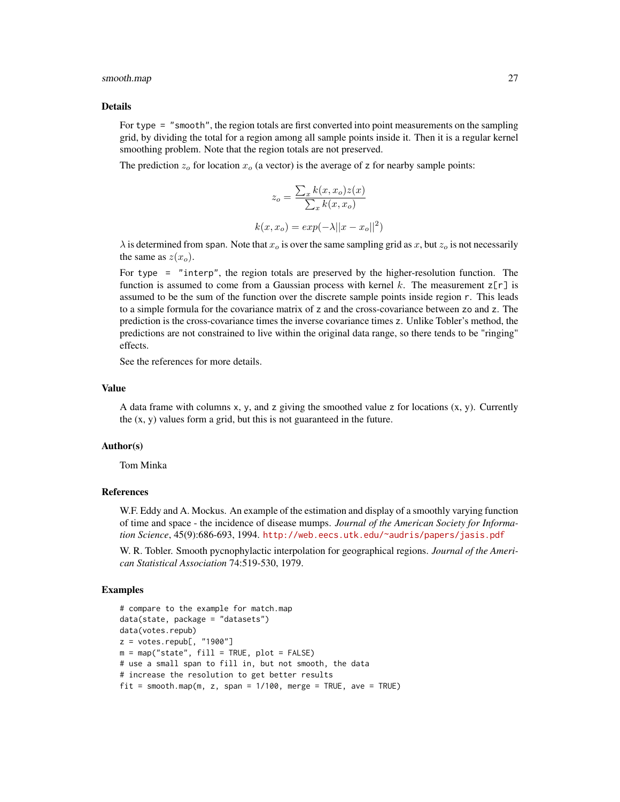#### smooth.map 27

#### Details

For type = "smooth", the region totals are first converted into point measurements on the sampling grid, by dividing the total for a region among all sample points inside it. Then it is a regular kernel smoothing problem. Note that the region totals are not preserved.

The prediction  $z_0$  for location  $x_0$  (a vector) is the average of z for nearby sample points:

$$
z_o = \frac{\sum_x k(x, x_o) z(x)}{\sum_x k(x, x_o)}
$$

$$
k(x, x_o) = exp(-\lambda ||x - x_o||^2)
$$

 $\lambda$  is determined from span. Note that  $x_0$  is over the same sampling grid as x, but  $z_0$  is not necessarily the same as  $z(x_o)$ .

For type = "interp", the region totals are preserved by the higher-resolution function. The function is assumed to come from a Gaussian process with kernel k. The measurement  $z[\tau]$  is assumed to be the sum of the function over the discrete sample points inside region r. This leads to a simple formula for the covariance matrix of z and the cross-covariance between zo and z. The prediction is the cross-covariance times the inverse covariance times z. Unlike Tobler's method, the predictions are not constrained to live within the original data range, so there tends to be "ringing" effects.

See the references for more details.

# Value

A data frame with columns x, y, and z giving the smoothed value z for locations  $(x, y)$ . Currently the  $(x, y)$  values form a grid, but this is not guaranteed in the future.

# Author(s)

Tom Minka

# References

W.F. Eddy and A. Mockus. An example of the estimation and display of a smoothly varying function of time and space - the incidence of disease mumps. *Journal of the American Society for Information Science*, 45(9):686-693, 1994. <http://web.eecs.utk.edu/~audris/papers/jasis.pdf>

W. R. Tobler. Smooth pycnophylactic interpolation for geographical regions. *Journal of the American Statistical Association* 74:519-530, 1979.

```
# compare to the example for match.map
data(state, package = "datasets")
data(votes.repub)
z = votes.repub[, "1900"]
m = map("state", fill = TRUE, plot = FALSE)# use a small span to fill in, but not smooth, the data
# increase the resolution to get better results
fit = smooth.map(m, z, span = 1/100, merge = TRUE, ave = TRUE)
```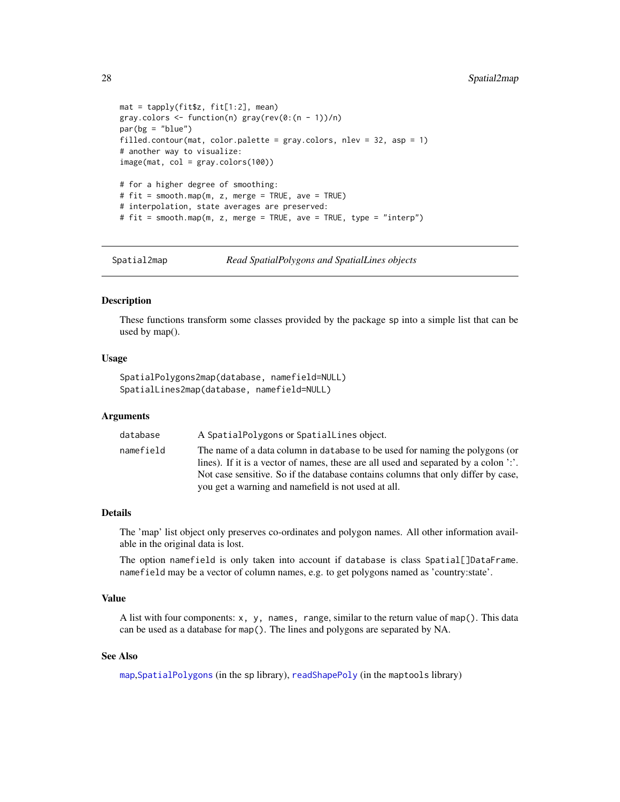```
mat = tapply(fit$z, fit[1:2], mean)
gray.colors \leq function(n) gray(rev(0:(n - 1))/n)
par(bg = "blue")filled.contour(mat, color.palette = gray.colors, nlev = 32, asp = 1)
# another way to visualize:
image(mat, col = gray.colors(100))
# for a higher degree of smoothing:
# fit = smooth.map(m, z, merge = TRUE, ave = TRUE)
# interpolation, state averages are preserved:
# fit = smooth.map(m, z, merge = TRUE, ave = TRUE, type = "interp")
```
Spatial2map *Read SpatialPolygons and SpatialLines objects*

# <span id="page-27-1"></span>Description

These functions transform some classes provided by the package sp into a simple list that can be used by map().

#### Usage

```
SpatialPolygons2map(database, namefield=NULL)
SpatialLines2map(database, namefield=NULL)
```
#### Arguments

| database  | A Spatial Polygons or Spatial Lines object.                                                                                                                                                                                                                                                                      |
|-----------|------------------------------------------------------------------------------------------------------------------------------------------------------------------------------------------------------------------------------------------------------------------------------------------------------------------|
| namefield | The name of a data column in database to be used for naming the polygons (or<br>lines). If it is a vector of names, these are all used and separated by a colon '.'.<br>Not case sensitive. So if the database contains columns that only differ by case,<br>you get a warning and namefield is not used at all. |

#### Details

The 'map' list object only preserves co-ordinates and polygon names. All other information available in the original data is lost.

The option namefield is only taken into account if database is class Spatial[]DataFrame. namefield may be a vector of column names, e.g. to get polygons named as 'country:state'.

# Value

A list with four components: x, y, names, range, similar to the return value of map(). This data can be used as a database for map(). The lines and polygons are separated by NA.

# See Also

[map](#page-12-1),[SpatialPolygons](#page-0-0) (in the sp library), [readShapePoly](#page-0-0) (in the maptools library)

<span id="page-27-0"></span>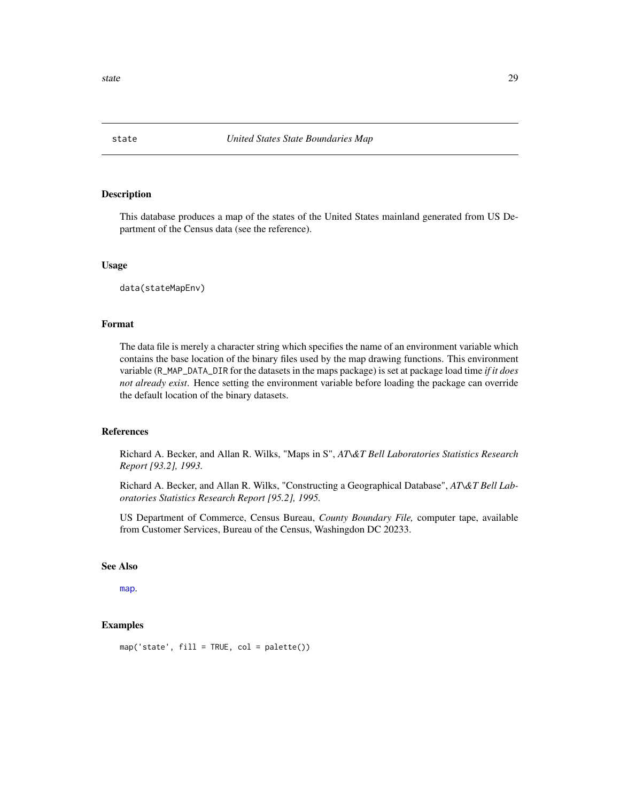<span id="page-28-1"></span><span id="page-28-0"></span>

This database produces a map of the states of the United States mainland generated from US Department of the Census data (see the reference).

# Usage

data(stateMapEnv)

# Format

The data file is merely a character string which specifies the name of an environment variable which contains the base location of the binary files used by the map drawing functions. This environment variable (R\_MAP\_DATA\_DIR for the datasets in the maps package) is set at package load time *if it does not already exist*. Hence setting the environment variable before loading the package can override the default location of the binary datasets.

# References

Richard A. Becker, and Allan R. Wilks, "Maps in S", *AT\&T Bell Laboratories Statistics Research Report [93.2], 1993.*

Richard A. Becker, and Allan R. Wilks, "Constructing a Geographical Database", *AT\&T Bell Laboratories Statistics Research Report [95.2], 1995.*

US Department of Commerce, Census Bureau, *County Boundary File,* computer tape, available from Customer Services, Bureau of the Census, Washingdon DC 20233.

# See Also

[map](#page-12-1).

# Examples

map('state', fill = TRUE, col = palette())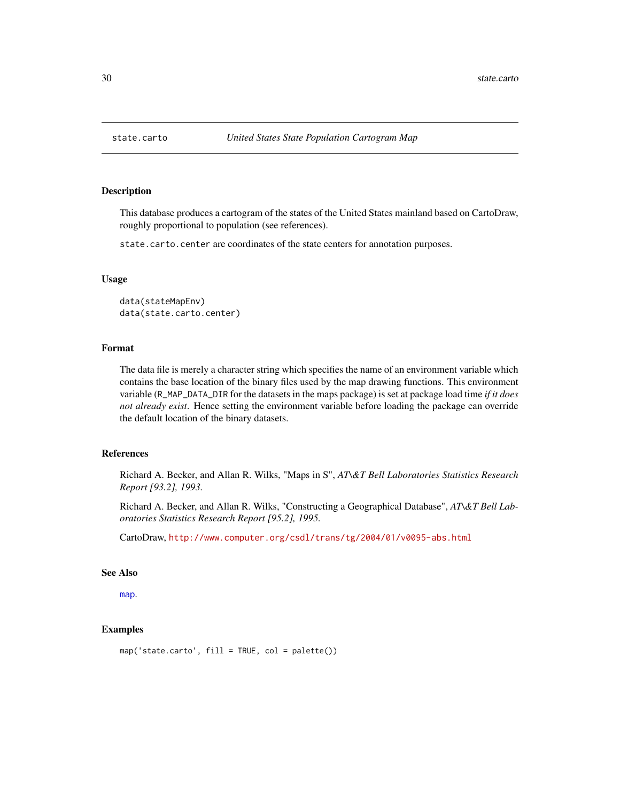This database produces a cartogram of the states of the United States mainland based on CartoDraw, roughly proportional to population (see references).

state.carto.center are coordinates of the state centers for annotation purposes.

# Usage

```
data(stateMapEnv)
data(state.carto.center)
```
# Format

The data file is merely a character string which specifies the name of an environment variable which contains the base location of the binary files used by the map drawing functions. This environment variable (R\_MAP\_DATA\_DIR for the datasets in the maps package) is set at package load time *if it does not already exist*. Hence setting the environment variable before loading the package can override the default location of the binary datasets.

# References

Richard A. Becker, and Allan R. Wilks, "Maps in S", *AT\&T Bell Laboratories Statistics Research Report [93.2], 1993.*

Richard A. Becker, and Allan R. Wilks, "Constructing a Geographical Database", *AT\&T Bell Laboratories Statistics Research Report [95.2], 1995.*

CartoDraw, <http://www.computer.org/csdl/trans/tg/2004/01/v0095-abs.html>

#### See Also

[map](#page-12-1).

```
map('state.carto', fill = TRUE, col = palette())
```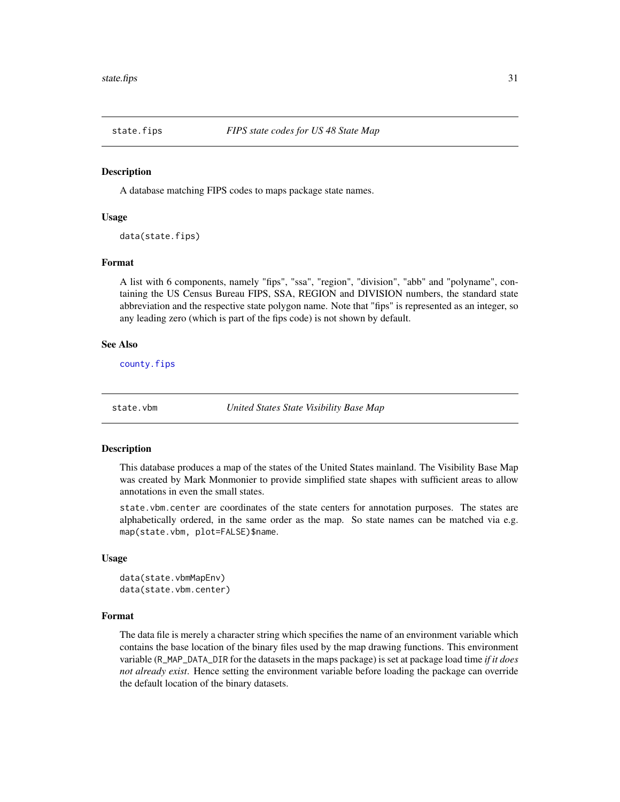<span id="page-30-1"></span><span id="page-30-0"></span>

A database matching FIPS codes to maps package state names.

# Usage

data(state.fips)

# Format

A list with 6 components, namely "fips", "ssa", "region", "division", "abb" and "polyname", containing the US Census Bureau FIPS, SSA, REGION and DIVISION numbers, the standard state abbreviation and the respective state polygon name. Note that "fips" is represented as an integer, so any leading zero (which is part of the fips code) is not shown by default.

# See Also

[county.fips](#page-4-1)

state.vbm *United States State Visibility Base Map*

#### Description

This database produces a map of the states of the United States mainland. The Visibility Base Map was created by Mark Monmonier to provide simplified state shapes with sufficient areas to allow annotations in even the small states.

state.vbm.center are coordinates of the state centers for annotation purposes. The states are alphabetically ordered, in the same order as the map. So state names can be matched via e.g. map(state.vbm, plot=FALSE)\$name.

#### Usage

```
data(state.vbmMapEnv)
data(state.vbm.center)
```
# Format

The data file is merely a character string which specifies the name of an environment variable which contains the base location of the binary files used by the map drawing functions. This environment variable (R\_MAP\_DATA\_DIR for the datasets in the maps package) is set at package load time *if it does not already exist*. Hence setting the environment variable before loading the package can override the default location of the binary datasets.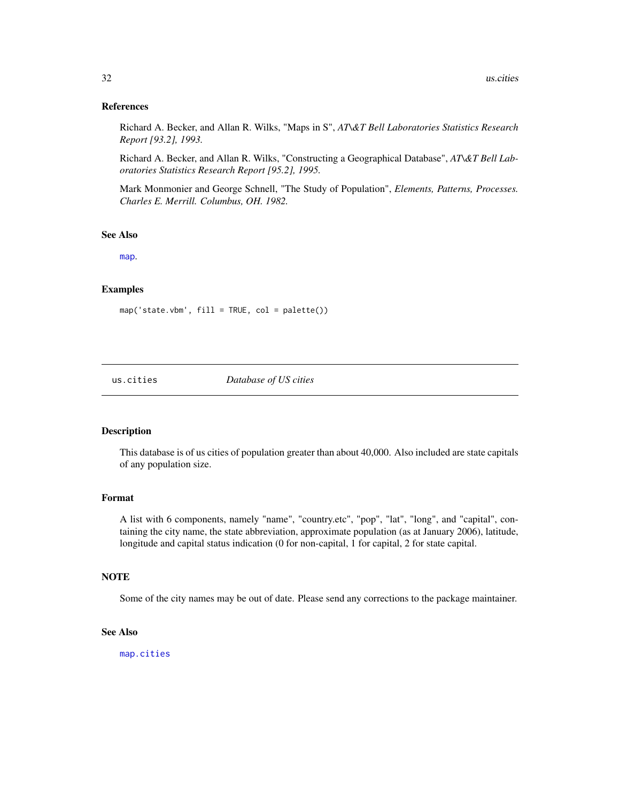# <span id="page-31-0"></span>References

Richard A. Becker, and Allan R. Wilks, "Maps in S", *AT\&T Bell Laboratories Statistics Research Report [93.2], 1993.*

Richard A. Becker, and Allan R. Wilks, "Constructing a Geographical Database", *AT\&T Bell Laboratories Statistics Research Report [95.2], 1995.*

Mark Monmonier and George Schnell, "The Study of Population", *Elements, Patterns, Processes. Charles E. Merrill. Columbus, OH. 1982.*

### See Also

[map](#page-12-1).

# Examples

map('state.vbm', fill = TRUE, col = palette())

<span id="page-31-1"></span>

us.cities *Database of US cities*

# Description

This database is of us cities of population greater than about 40,000. Also included are state capitals of any population size.

# Format

A list with 6 components, namely "name", "country.etc", "pop", "lat", "long", and "capital", containing the city name, the state abbreviation, approximate population (as at January 2006), latitude, longitude and capital status indication (0 for non-capital, 1 for capital, 2 for state capital.

# **NOTE**

Some of the city names may be out of date. Please send any corrections to the package maintainer.

# See Also

[map.cities](#page-17-1)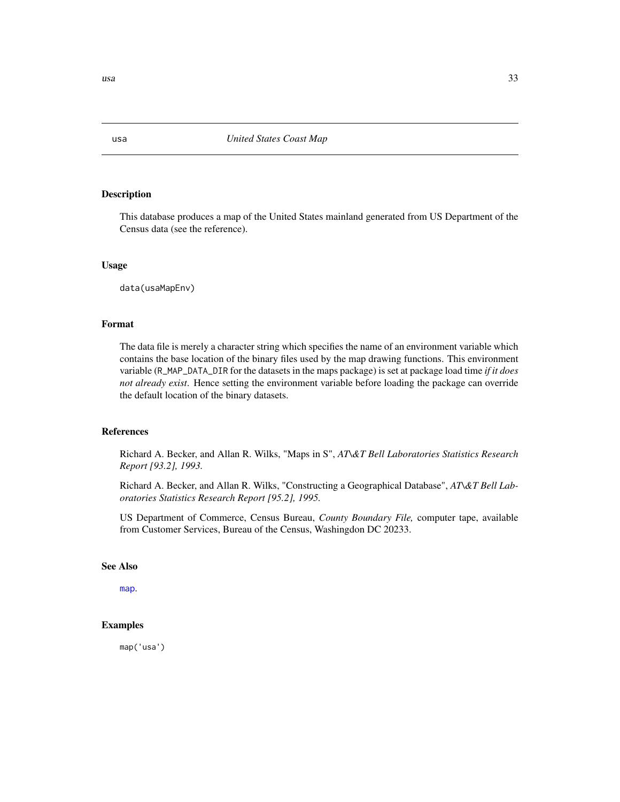This database produces a map of the United States mainland generated from US Department of the Census data (see the reference).

# Usage

data(usaMapEnv)

# Format

The data file is merely a character string which specifies the name of an environment variable which contains the base location of the binary files used by the map drawing functions. This environment variable (R\_MAP\_DATA\_DIR for the datasets in the maps package) is set at package load time *if it does not already exist*. Hence setting the environment variable before loading the package can override the default location of the binary datasets.

# References

Richard A. Becker, and Allan R. Wilks, "Maps in S", *AT\&T Bell Laboratories Statistics Research Report [93.2], 1993.*

Richard A. Becker, and Allan R. Wilks, "Constructing a Geographical Database", *AT\&T Bell Laboratories Statistics Research Report [95.2], 1995.*

US Department of Commerce, Census Bureau, *County Boundary File,* computer tape, available from Customer Services, Bureau of the Census, Washingdon DC 20233.

# See Also

[map](#page-12-1).

# Examples

map('usa')

<span id="page-32-1"></span><span id="page-32-0"></span>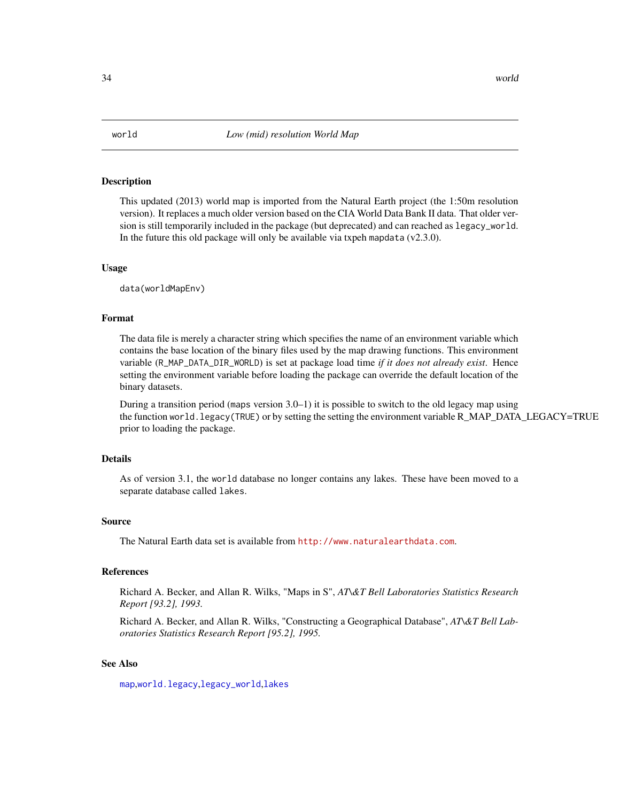<span id="page-33-1"></span><span id="page-33-0"></span>

This updated (2013) world map is imported from the Natural Earth project (the 1:50m resolution version). It replaces a much older version based on the CIA World Data Bank II data. That older version is still temporarily included in the package (but deprecated) and can reached as legacy\_world. In the future this old package will only be available via txpeh mapdata  $(v2.3.0)$ .

# Usage

data(worldMapEnv)

# Format

The data file is merely a character string which specifies the name of an environment variable which contains the base location of the binary files used by the map drawing functions. This environment variable (R\_MAP\_DATA\_DIR\_WORLD) is set at package load time *if it does not already exist*. Hence setting the environment variable before loading the package can override the default location of the binary datasets.

During a transition period (maps version 3.0–1) it is possible to switch to the old legacy map using the function world.legacy(TRUE) or by setting the setting the environment variable R\_MAP\_DATA\_LEGACY=TRUE prior to loading the package.

# Details

As of version 3.1, the world database no longer contains any lakes. These have been moved to a separate database called lakes.

#### Source

The Natural Earth data set is available from <http://www.naturalearthdata.com>.

#### References

Richard A. Becker, and Allan R. Wilks, "Maps in S", *AT\&T Bell Laboratories Statistics Research Report [93.2], 1993.*

Richard A. Becker, and Allan R. Wilks, "Constructing a Geographical Database", *AT\&T Bell Laboratories Statistics Research Report [95.2], 1995.*

# See Also

[map](#page-12-1),[world.legacy](#page-35-1),[legacy\\_world](#page-11-1),[lakes](#page-10-1)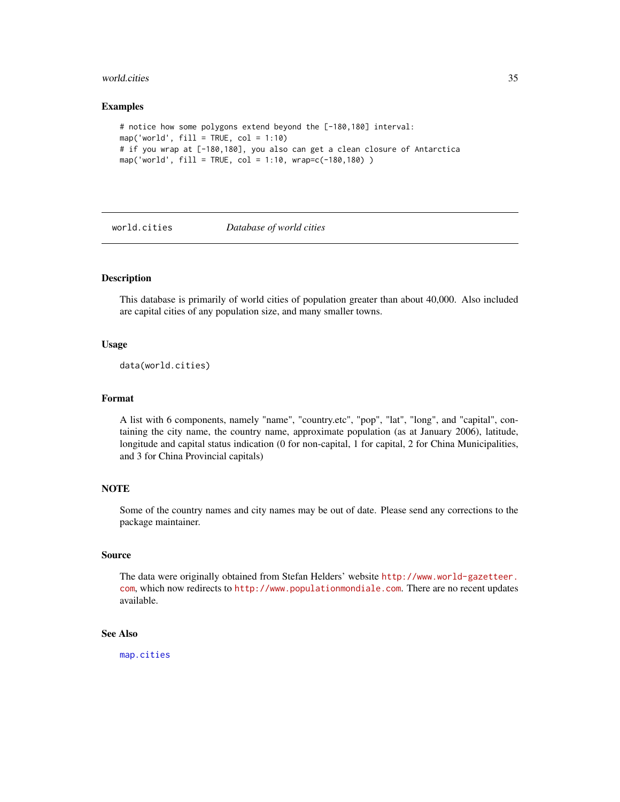#### <span id="page-34-0"></span>world.cities 35

#### Examples

```
# notice how some polygons extend beyond the [-180,180] interval:
map('world', fill = TRUE, col = 1:10)
# if you wrap at [-180,180], you also can get a clean closure of Antarctica
map('world', fill = TRUE, col = 1:10, wrap=c(-180,180) )
```
<span id="page-34-1"></span>

#### world.cities *Database of world cities*

# Description

This database is primarily of world cities of population greater than about 40,000. Also included are capital cities of any population size, and many smaller towns.

# Usage

```
data(world.cities)
```
#### Format

A list with 6 components, namely "name", "country.etc", "pop", "lat", "long", and "capital", containing the city name, the country name, approximate population (as at January 2006), latitude, longitude and capital status indication (0 for non-capital, 1 for capital, 2 for China Municipalities, and 3 for China Provincial capitals)

# **NOTE**

Some of the country names and city names may be out of date. Please send any corrections to the package maintainer.

#### Source

The data were originally obtained from Stefan Helders' website [http://www.world-gazetteer.](http://www.world-gazetteer.com) [com](http://www.world-gazetteer.com), which now redirects to <http://www.populationmondiale.com>. There are no recent updates available.

# See Also

[map.cities](#page-17-1)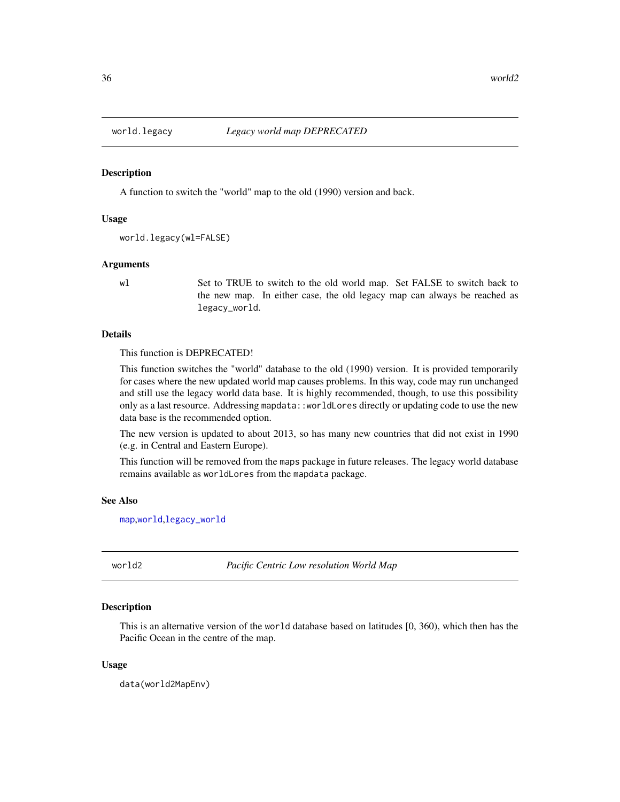<span id="page-35-1"></span><span id="page-35-0"></span>

A function to switch the "world" map to the old (1990) version and back.

#### Usage

```
world.legacy(wl=FALSE)
```
# Arguments

wl Set to TRUE to switch to the old world map. Set FALSE to switch back to the new map. In either case, the old legacy map can always be reached as legacy\_world.

#### Details

This function is DEPRECATED!

This function switches the "world" database to the old (1990) version. It is provided temporarily for cases where the new updated world map causes problems. In this way, code may run unchanged and still use the legacy world data base. It is highly recommended, though, to use this possibility only as a last resource. Addressing mapdata::worldLores directly or updating code to use the new data base is the recommended option.

The new version is updated to about 2013, so has many new countries that did not exist in 1990 (e.g. in Central and Eastern Europe).

This function will be removed from the maps package in future releases. The legacy world database remains available as worldLores from the mapdata package.

# See Also

[map](#page-12-1),[world](#page-33-1),[legacy\\_world](#page-11-1)

world2 *Pacific Centric Low resolution World Map*

# **Description**

This is an alternative version of the world database based on latitudes [0, 360), which then has the Pacific Ocean in the centre of the map.

#### Usage

data(world2MapEnv)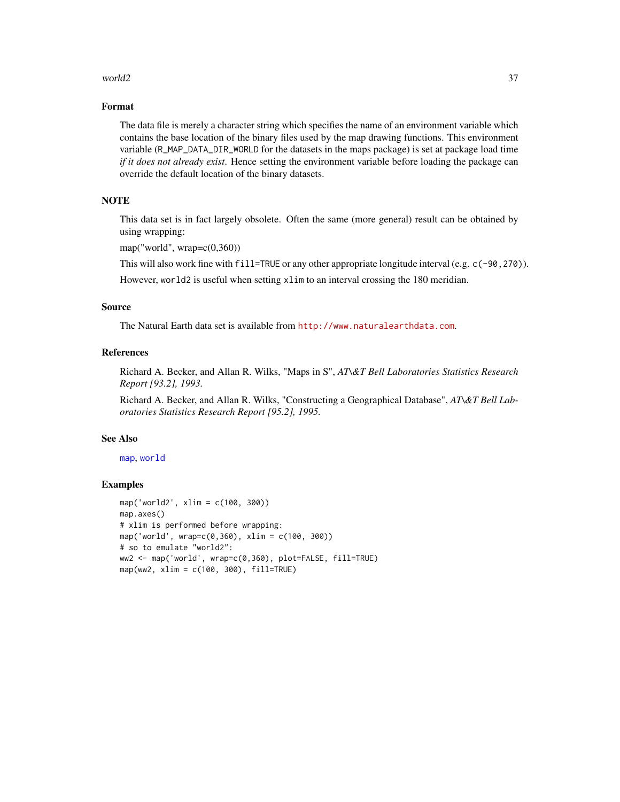# <span id="page-36-0"></span> $\omega$  and  $\omega$  37

# Format

The data file is merely a character string which specifies the name of an environment variable which contains the base location of the binary files used by the map drawing functions. This environment variable (R\_MAP\_DATA\_DIR\_WORLD for the datasets in the maps package) is set at package load time *if it does not already exist*. Hence setting the environment variable before loading the package can override the default location of the binary datasets.

# **NOTE**

This data set is in fact largely obsolete. Often the same (more general) result can be obtained by using wrapping:

map("world", wrap=c(0,360))

This will also work fine with fill=TRUE or any other appropriate longitude interval (e.g. c(-90, 270)).

However, world2 is useful when setting xlim to an interval crossing the 180 meridian.

# Source

The Natural Earth data set is available from <http://www.naturalearthdata.com>.

# References

Richard A. Becker, and Allan R. Wilks, "Maps in S", *AT\&T Bell Laboratories Statistics Research Report [93.2], 1993.*

Richard A. Becker, and Allan R. Wilks, "Constructing a Geographical Database", *AT\&T Bell Laboratories Statistics Research Report [95.2], 1995.*

#### See Also

[map](#page-12-1), [world](#page-33-1)

```
map('world2', xlim = c(100, 300))
map.axes()
# xlim is performed before wrapping:
map('world', wrap=c(0,360), xlim = c(100, 300))
# so to emulate "world2":
ww2 <- map('world', wrap=c(0,360), plot=FALSE, fill=TRUE)
map(ww2, xlim = c(100, 300), fill=True)
```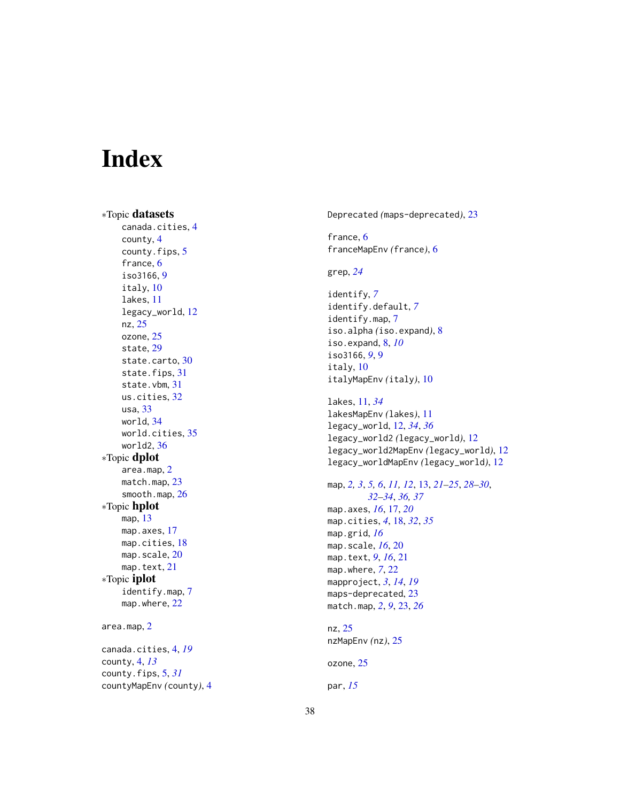# <span id="page-37-0"></span>Index

∗Topic datasets canada.cities , [4](#page-3-0) county , [4](#page-3-0) county.fips, [5](#page-4-0) france, [6](#page-5-0) iso3166 , [9](#page-8-0) italy , [10](#page-9-0) lakes , [11](#page-10-0) legacy\_world , [12](#page-11-0) nz , [25](#page-24-0) ozone, [25](#page-24-0) state , [29](#page-28-0) state.carto, [30](#page-29-0) state.fips, [31](#page-30-0) state.vbm , [31](#page-30-0) us.cities , [32](#page-31-0) usa , [33](#page-32-0) world , [34](#page-33-0) world.cities , [35](#page-34-0) world2 , [36](#page-35-0) ∗Topic dplot area.map , [2](#page-1-0) match.map, [23](#page-22-0) smooth.map , [26](#page-25-0) ∗Topic hplot map , [13](#page-12-0) map.axes, [17](#page-16-0) map.cities, [18](#page-17-0) map.scale, [20](#page-19-0) map.text, [21](#page-20-0) ∗Topic iplot identify.map , [7](#page-6-0) map.where, [22](#page-21-0) area.map , [2](#page-1-0) canada.cities , [4](#page-3-0) , *[19](#page-18-0)*

county , [4](#page-3-0) , *[13](#page-12-0)* county.fips , [5](#page-4-0) , *[31](#page-30-0)* countyMapEnv *(*county *)* , [4](#page-3-0) Deprecated *(*maps-deprecated *)* , [23](#page-22-0)

france, [6](#page-5-0) franceMapEnv *(*france *)* , [6](#page-5-0)

grep , *[24](#page-23-0)*

identify , *[7](#page-6-0)* identify.default , *[7](#page-6-0)* identify.map , [7](#page-6-0) iso.alpha *(*iso.expand *)* , [8](#page-7-0) iso.expand , [8](#page-7-0) , *[10](#page-9-0)* iso3166, [9](#page-8-0), 9 italy , [10](#page-9-0) italyMapEnv *(*italy *)* , [10](#page-9-0)

lakes , [11](#page-10-0) , *[34](#page-33-0)* lakesMapEnv *(*lakes *)* , [11](#page-10-0) legacy\_world , [12](#page-11-0) , *[34](#page-33-0)* , *[36](#page-35-0)* legacy\_world2 *(*legacy\_world *)* , [12](#page-11-0) legacy\_world2MapEnv *(*legacy\_world *)* , [12](#page-11-0) legacy\_worldMapEnv *(*legacy\_world *)* , [12](#page-11-0)

map, [2](#page-1-0), [3](#page-2-0), [5](#page-4-0), [6](#page-5-0), [11](#page-10-0), [12](#page-11-0), [13](#page-12-0), [21](#page-20-0)[–25](#page-24-0), [28](#page-27-0)[–30](#page-29-0), *[32](#page-31-0) [–34](#page-33-0)* , *[36,](#page-35-0) [37](#page-36-0)* map.axes , *[16](#page-15-0)* , [17](#page-16-0) , *[20](#page-19-0)* map.cities , *[4](#page-3-0)* , [18](#page-17-0) , *[32](#page-31-0)* , *[35](#page-34-0)* map.grid , *[16](#page-15-0)* map.scale , *[16](#page-15-0)* , [20](#page-19-0) map.text , *[9](#page-8-0)* , *[16](#page-15-0)* , [21](#page-20-0) map.where , *[7](#page-6-0)* , [22](#page-21-0) mapproject , *[3](#page-2-0)* , *[14](#page-13-0)* , *[19](#page-18-0)* maps-deprecated, [23](#page-22-0) match.map , *[2](#page-1-0)* , *[9](#page-8-0)* , [23](#page-22-0) , *[26](#page-25-0)*

nz , [25](#page-24-0) nzMapEnv *(*nz *)* , [25](#page-24-0)

ozone, [25](#page-24-0)

par , *[15](#page-14-0)*